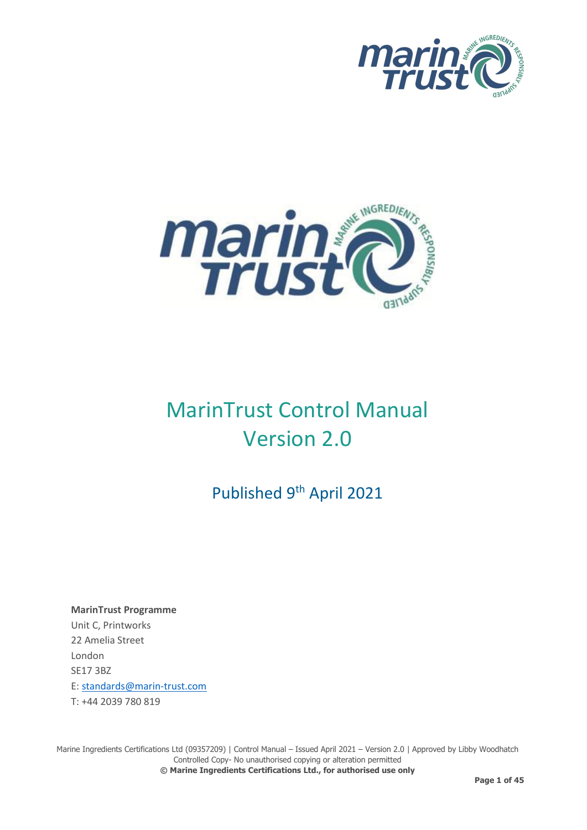



# MarinTrust Control Manual Version 2.0

Published 9<sup>th</sup> April 2021

**MarinTrust Programme**  Unit C, Printworks 22 Amelia Street London SE17 3BZ E: [standards@marin-trust.com](mailto:standards@marin-trust.com) T: +44 2039 780 819

Marine Ingredients Certifications Ltd (09357209) | Control Manual – Issued April 2021 – Version 2.0 | Approved by Libby Woodhatch Controlled Copy- No unauthorised copying or alteration permitted **© Marine Ingredients Certifications Ltd., for authorised use only**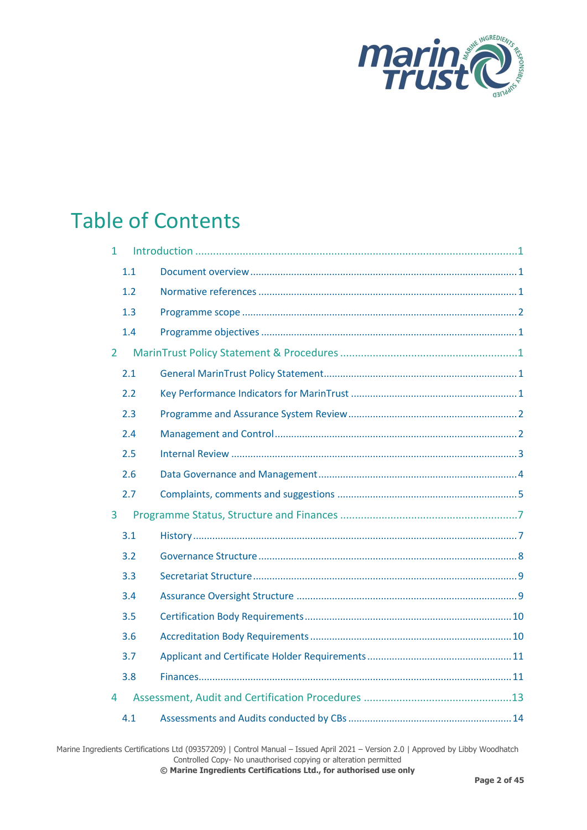

## Table of Contents

| $\mathbf{1}$   |     |  |
|----------------|-----|--|
|                | 1.1 |  |
|                | 1.2 |  |
|                | 1.3 |  |
|                | 1.4 |  |
| $\overline{2}$ |     |  |
|                | 2.1 |  |
|                | 2.2 |  |
|                | 2.3 |  |
|                | 2.4 |  |
|                | 2.5 |  |
|                | 2.6 |  |
|                | 2.7 |  |
| 3              |     |  |
|                | 3.1 |  |
|                | 3.2 |  |
|                | 3.3 |  |
|                | 3.4 |  |
|                | 3.5 |  |
|                | 3.6 |  |
|                | 3.7 |  |
|                | 3.8 |  |
| 4              |     |  |
|                | 4.1 |  |

Marine Ingredients Certifications Ltd (09357209) | Control Manual – Issued April 2021 – Version 2.0 | Approved by Libby Woodhatch Controlled Copy- No unauthorised copying or alteration permitted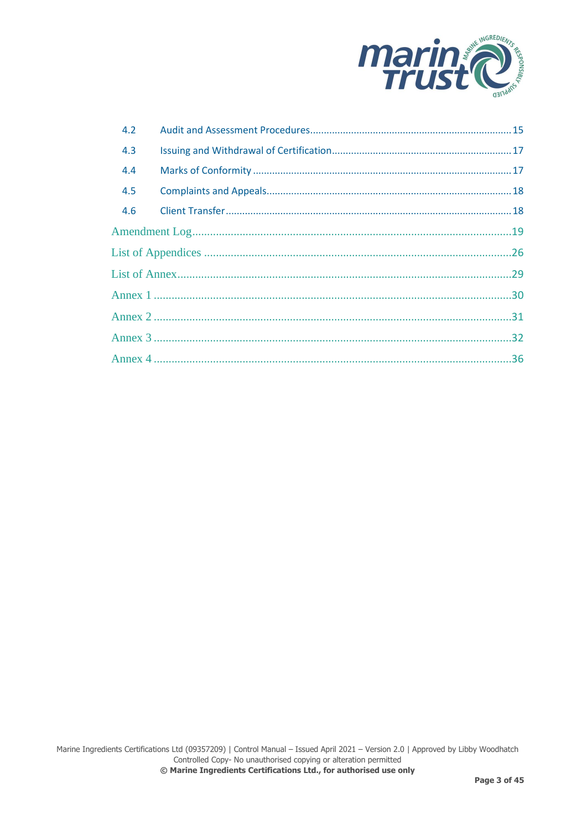

| 4.2 |  |  |  |  |  |
|-----|--|--|--|--|--|
| 4.3 |  |  |  |  |  |
| 4.4 |  |  |  |  |  |
| 4.5 |  |  |  |  |  |
| 4.6 |  |  |  |  |  |
|     |  |  |  |  |  |
|     |  |  |  |  |  |
|     |  |  |  |  |  |
|     |  |  |  |  |  |
|     |  |  |  |  |  |
|     |  |  |  |  |  |
|     |  |  |  |  |  |
|     |  |  |  |  |  |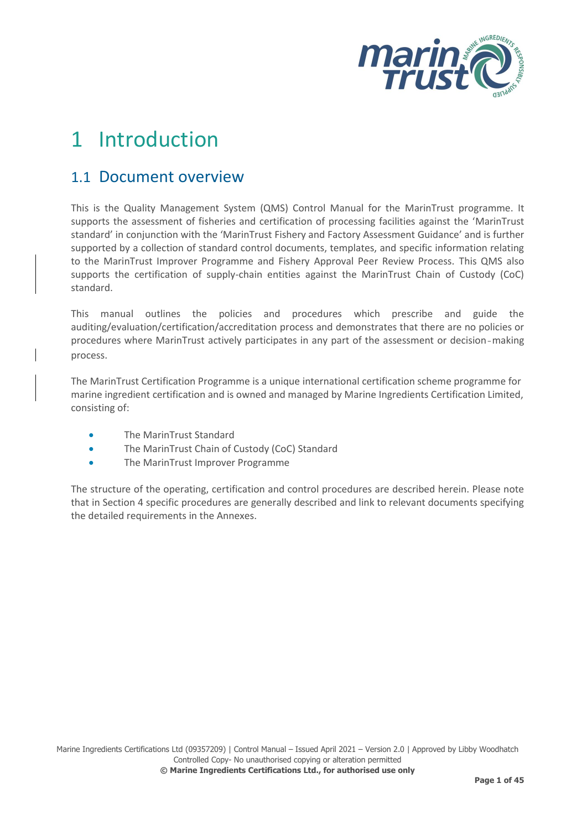

# <span id="page-3-0"></span>1 Introduction

### <span id="page-3-1"></span>1.1 Document overview

This is the Quality Management System (QMS) Control Manual for the MarinTrust programme. It supports the assessment of fisheries and certification of processing facilities against the 'MarinTrust standard' in conjunction with the 'MarinTrust Fishery and Factory Assessment Guidance' and is further supported by a collection of standard control documents, templates, and specific information relating to the MarinTrust Improver Programme and Fishery Approval Peer Review Process. This QMS also supports the certification of supply-chain entities against the MarinTrust Chain of Custody (CoC) standard.

This manual outlines the policies and procedures which prescribe and guide the auditing/evaluation/certification/accreditation process and demonstrates that there are no policies or procedures where MarinTrust actively participates in any part of the assessment or decision‐making process.

The MarinTrust Certification Programme is a unique international certification scheme programme for marine ingredient certification and is owned and managed by Marine Ingredients Certification Limited, consisting of:

- The MarinTrust Standard
- The MarinTrust Chain of Custody (CoC) Standard
- The MarinTrust Improver Programme

<span id="page-3-2"></span>The structure of the operating, certification and control procedures are described herein. Please note that in Section 4 specific procedures are generally described and link to relevant documents specifying the detailed requirements in the Annexes.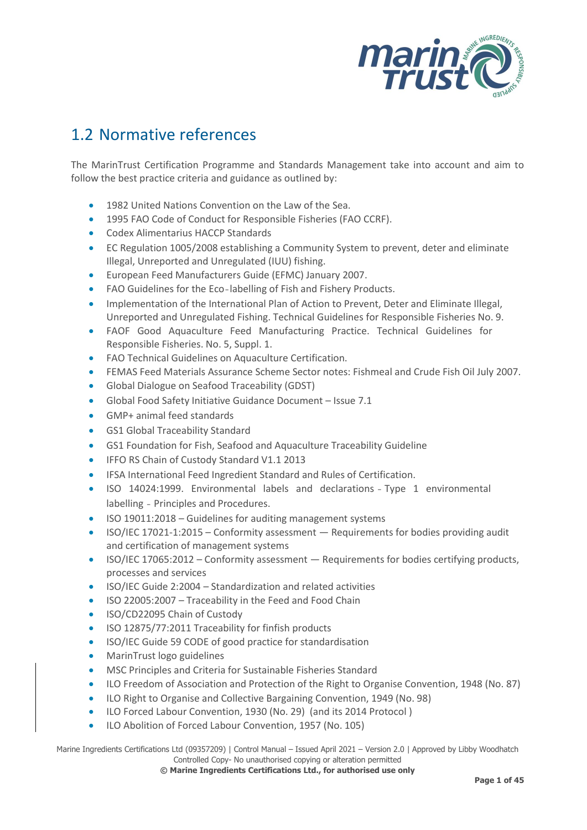

## 1.2 Normative references

The MarinTrust Certification Programme and Standards Management take into account and aim to follow the best practice criteria and guidance as outlined by:

- 1982 United Nations Convention on the Law of the Sea.
- 1995 FAO Code of Conduct for Responsible Fisheries (FAO CCRF).
- Codex Alimentarius HACCP Standards
- EC Regulation 1005/2008 establishing a Community System to prevent, deter and eliminate Illegal, Unreported and Unregulated (IUU) fishing.
- European Feed Manufacturers Guide (EFMC) January 2007.
- FAO Guidelines for the Eco-labelling of Fish and Fishery Products.
- Implementation of the International Plan of Action to Prevent, Deter and Eliminate Illegal, Unreported and Unregulated Fishing. Technical Guidelines for Responsible Fisheries No. 9.
- FAOF Good Aquaculture Feed Manufacturing Practice. Technical Guidelines for Responsible Fisheries. No. 5, Suppl. 1.
- FAO Technical Guidelines on Aquaculture Certification.
- FEMAS Feed Materials Assurance Scheme Sector notes: Fishmeal and Crude Fish Oil July 2007.
- Global Dialogue on Seafood Traceability (GDST)
- Global Food Safety Initiative Guidance Document Issue 7.1
- GMP+ animal feed standards
- GS1 Global Traceability Standard
- GS1 Foundation for Fish, Seafood and Aquaculture Traceability Guideline
- IFFO RS Chain of Custody Standard V1.1 2013
- IFSA International Feed Ingredient Standard and Rules of Certification.
- ISO 14024:1999. Environmental labels and declarations ‐ Type 1 environmental labelling ‐ Principles and Procedures.
- ISO 19011:2018 Guidelines for auditing management systems
- ISO/IEC 17021-1:2015 Conformity assessment Requirements for bodies providing audit and certification of management systems
- ISO/IEC 17065:2012 Conformity assessment Requirements for bodies certifying products, processes and services
- ISO/IEC Guide 2:2004 Standardization and related activities
- ISO 22005:2007 Traceability in the Feed and Food Chain
- ISO/CD22095 Chain of Custody
- ISO 12875/77:2011 Traceability for finfish products
- ISO/IEC Guide 59 CODE of good practice for standardisation
- MarinTrust logo guidelines
- MSC Principles and Criteria for Sustainable Fisheries Standard
- ILO Freedom of Association and Protection of the Right to Organise Convention, 1948 (No. 87)
- ILO Right to Organise and Collective Bargaining Convention, 1949 (No. 98)
- ILO Forced Labour Convention, 1930 (No. 29) (and its 2014 Protocol )
- ILO Abolition of Forced Labour Convention, 1957 (No. 105)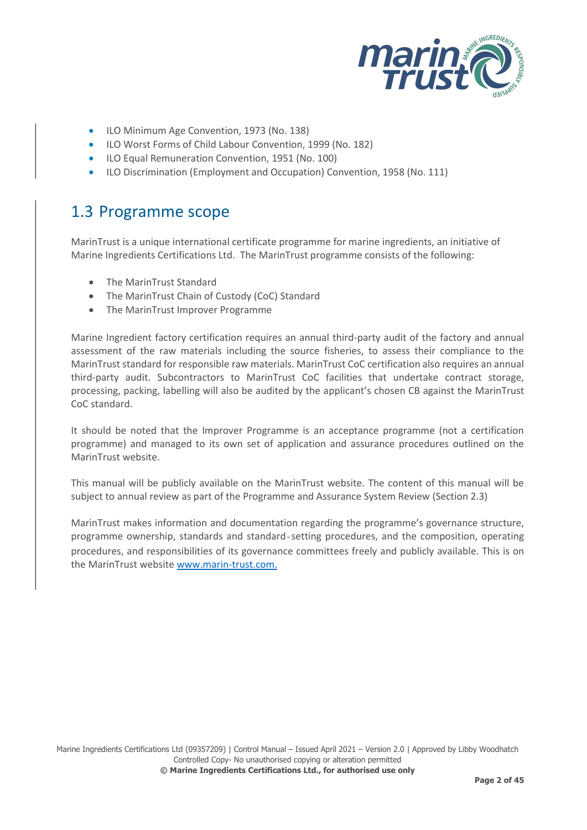

- ILO Minimum Age Convention, 1973 (No. 138)
- ILO Worst Forms of Child Labour Convention, 1999 (No. 182)
- ILO Equal Remuneration Convention, 1951 (No. 100)
- ILO Discrimination (Employment and Occupation) Convention, 1958 (No. 111)

## <span id="page-5-0"></span>1.3 Programme scope

MarinTrust is a unique international certificate programme for marine ingredients, an initiative of Marine Ingredients Certifications Ltd. The MarinTrust programme consists of the following:

- The MarinTrust Standard
- The MarinTrust Chain of Custody (CoC) Standard
- The MarinTrust Improver Programme

Marine Ingredient factory certification requires an annual third-party audit of the factory and annual assessment of the raw materials including the source fisheries, to assess their compliance to the MarinTrust standard for responsible raw materials. MarinTrust CoC certification also requires an annual third-party audit. Subcontractors to MarinTrust CoC facilities that undertake contract storage, processing, packing, labelling will also be audited by the applicant's chosen CB against the MarinTrust CoC standard.

It should be noted that the Improver Programme is an acceptance programme (not a certification programme) and managed to its own set of application and assurance procedures outlined on the MarinTrust website.

This manual will be publicly available on the MarinTrust website. The content of this manual will be subject to annual review as part of the Programme and Assurance System Review (Section 2.3)

<span id="page-5-1"></span>MarinTrust makes information and documentation regarding the programme's governance structure, programme ownership, standards and standard-setting procedures, and the composition, operating procedures, and responsibilities of its governance committees freely and publicly available. This is on the MarinTrust website [www.marin-trust.com.](http://www.marin-trust.com/)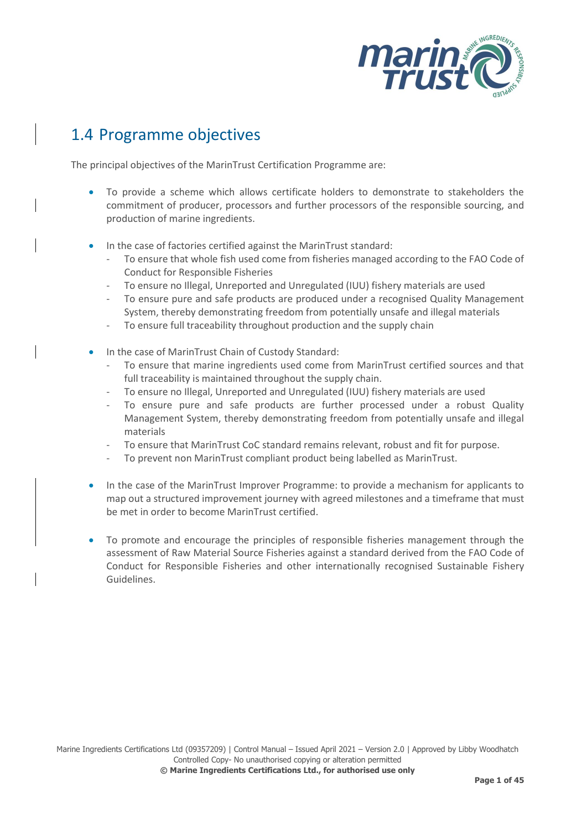

## 1.4 Programme objectives

The principal objectives of the MarinTrust Certification Programme are:

- To provide a scheme which allows certificate holders to demonstrate to stakeholders the commitment of producer, processors and further processors of the responsible sourcing, and production of marine ingredients.
- In the case of factories certified against the MarinTrust standard:
	- To ensure that whole fish used come from fisheries managed according to the FAO Code of Conduct for Responsible Fisheries
	- To ensure no Illegal, Unreported and Unregulated (IUU) fishery materials are used
	- To ensure pure and safe products are produced under a recognised Quality Management System, thereby demonstrating freedom from potentially unsafe and illegal materials
	- To ensure full traceability throughout production and the supply chain
- In the case of MarinTrust Chain of Custody Standard:
	- To ensure that marine ingredients used come from MarinTrust certified sources and that full traceability is maintained throughout the supply chain.
	- To ensure no Illegal, Unreported and Unregulated (IUU) fishery materials are used
	- To ensure pure and safe products are further processed under a robust Quality Management System, thereby demonstrating freedom from potentially unsafe and illegal materials
	- To ensure that MarinTrust CoC standard remains relevant, robust and fit for purpose.
	- To prevent non MarinTrust compliant product being labelled as MarinTrust.
- In the case of the MarinTrust Improver Programme: to provide a mechanism for applicants to map out a structured improvement journey with agreed milestones and a timeframe that must be met in order to become MarinTrust certified.
- To promote and encourage the principles of responsible fisheries management through the assessment of Raw Material Source Fisheries against a standard derived from the FAO Code of Conduct for Responsible Fisheries and other internationally recognised Sustainable Fishery Guidelines.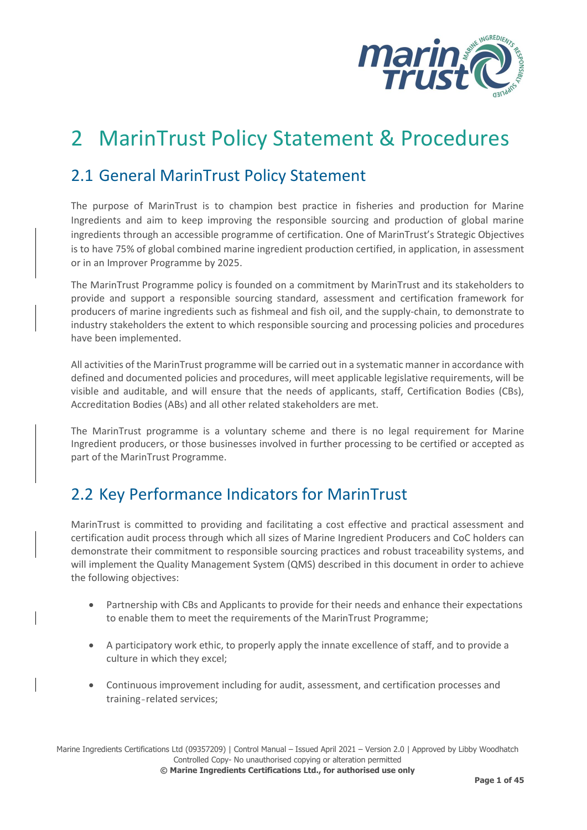

## <span id="page-7-0"></span>2 MarinTrust Policy Statement & Procedures

## <span id="page-7-1"></span>2.1 General MarinTrust Policy Statement

The purpose of MarinTrust is to champion best practice in fisheries and production for Marine Ingredients and aim to keep improving the responsible sourcing and production of global marine ingredients through an accessible programme of certification. One of MarinTrust's Strategic Objectives is to have 75% of global combined marine ingredient production certified, in application, in assessment or in an Improver Programme by 2025.

The MarinTrust Programme policy is founded on a commitment by MarinTrust and its stakeholders to provide and support a responsible sourcing standard, assessment and certification framework for producers of marine ingredients such as fishmeal and fish oil, and the supply-chain, to demonstrate to industry stakeholders the extent to which responsible sourcing and processing policies and procedures have been implemented.

All activities of the MarinTrust programme will be carried out in a systematic manner in accordance with defined and documented policies and procedures, will meet applicable legislative requirements, will be visible and auditable, and will ensure that the needs of applicants, staff, Certification Bodies (CBs), Accreditation Bodies (ABs) and all other related stakeholders are met.

The MarinTrust programme is a voluntary scheme and there is no legal requirement for Marine Ingredient producers, or those businesses involved in further processing to be certified or accepted as part of the MarinTrust Programme.

## <span id="page-7-2"></span>2.2 Key Performance Indicators for MarinTrust

MarinTrust is committed to providing and facilitating a cost effective and practical assessment and certification audit process through which all sizes of Marine Ingredient Producers and CoC holders can demonstrate their commitment to responsible sourcing practices and robust traceability systems, and will implement the Quality Management System (QMS) described in this document in order to achieve the following objectives:

- Partnership with CBs and Applicants to provide for their needs and enhance their expectations to enable them to meet the requirements of the MarinTrust Programme;
- A participatory work ethic, to properly apply the innate excellence of staff, and to provide a culture in which they excel;
- Continuous improvement including for audit, assessment, and certification processes and training‐related services;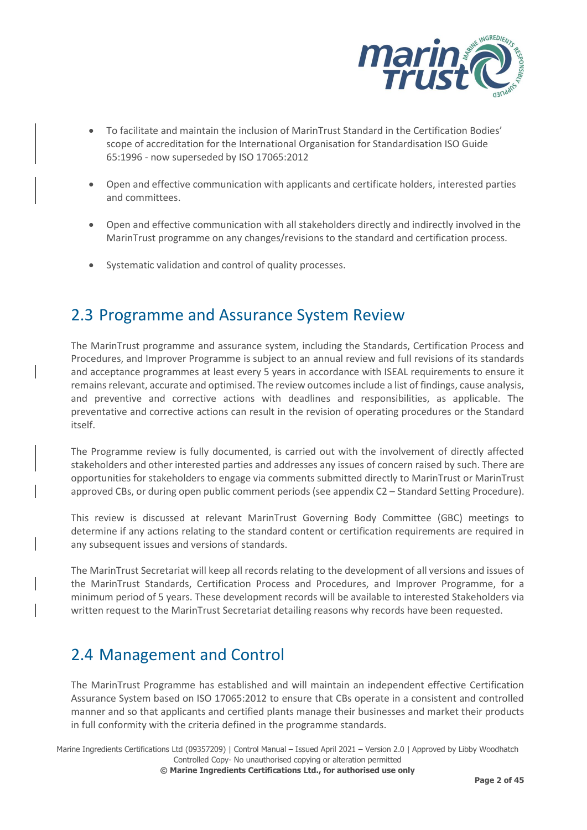

- To facilitate and maintain the inclusion of MarinTrust Standard in the Certification Bodies' scope of accreditation for the International Organisation for Standardisation ISO Guide 65:1996 - now superseded by ISO 17065:2012
- Open and effective communication with applicants and certificate holders, interested parties and committees.
- Open and effective communication with all stakeholders directly and indirectly involved in the MarinTrust programme on any changes/revisions to the standard and certification process.
- Systematic validation and control of quality processes.

## <span id="page-8-0"></span>2.3 Programme and Assurance System Review

The MarinTrust programme and assurance system, including the Standards, Certification Process and Procedures, and Improver Programme is subject to an annual review and full revisions of its standards and acceptance programmes at least every 5 years in accordance with ISEAL requirements to ensure it remains relevant, accurate and optimised. The review outcomes include a list of findings, cause analysis, and preventive and corrective actions with deadlines and responsibilities, as applicable. The preventative and corrective actions can result in the revision of operating procedures or the Standard itself.

The Programme review is fully documented, is carried out with the involvement of directly affected stakeholders and other interested parties and addresses any issues of concern raised by such. There are opportunities for stakeholders to engage via comments submitted directly to MarinTrust or MarinTrust approved CBs, or during open public comment periods (see appendix C2 – Standard Setting Procedure).

This review is discussed at relevant MarinTrust Governing Body Committee (GBC) meetings to determine if any actions relating to the standard content or certification requirements are required in any subsequent issues and versions of standards.

The MarinTrust Secretariat will keep all records relating to the development of all versions and issues of the MarinTrust Standards, Certification Process and Procedures, and Improver Programme, for a minimum period of 5 years. These development records will be available to interested Stakeholders via written request to the MarinTrust Secretariat detailing reasons why records have been requested.

## <span id="page-8-1"></span>2.4 Management and Control

The MarinTrust Programme has established and will maintain an independent effective Certification Assurance System based on ISO 17065:2012 to ensure that CBs operate in a consistent and controlled manner and so that applicants and certified plants manage their businesses and market their products in full conformity with the criteria defined in the programme standards.

Marine Ingredients Certifications Ltd (09357209) | Control Manual – Issued April 2021 – Version 2.0 | Approved by Libby Woodhatch Controlled Copy- No unauthorised copying or alteration permitted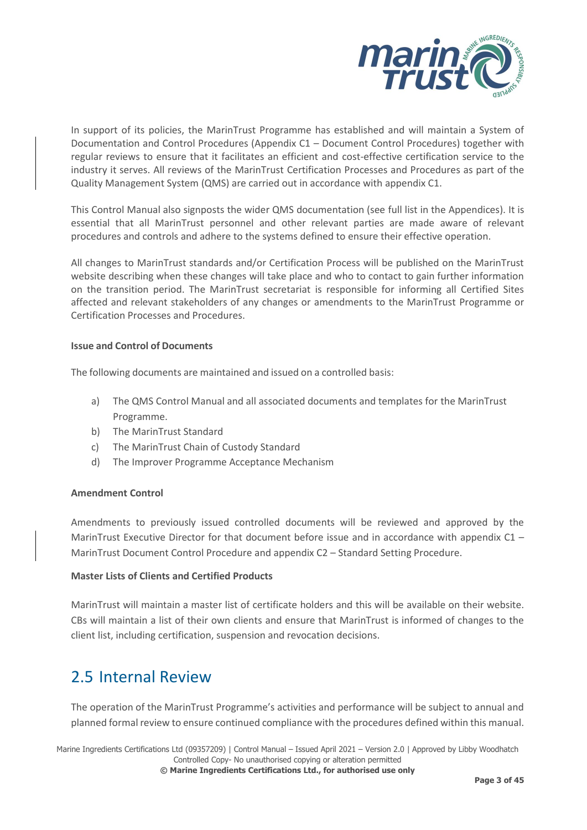

In support of its policies, the MarinTrust Programme has established and will maintain a System of Documentation and Control Procedures (Appendix C1 – Document Control Procedures) together with regular reviews to ensure that it facilitates an efficient and cost-effective certification service to the industry it serves. All reviews of the MarinTrust Certification Processes and Procedures as part of the Quality Management System (QMS) are carried out in accordance with appendix C1.

This Control Manual also signposts the wider QMS documentation (see full list in the Appendices). It is essential that all MarinTrust personnel and other relevant parties are made aware of relevant procedures and controls and adhere to the systems defined to ensure their effective operation.

All changes to MarinTrust standards and/or Certification Process will be published on the MarinTrust website describing when these changes will take place and who to contact to gain further information on the transition period. The MarinTrust secretariat is responsible for informing all Certified Sites affected and relevant stakeholders of any changes or amendments to the MarinTrust Programme or Certification Processes and Procedures.

#### **Issue and Control of Documents**

The following documents are maintained and issued on a controlled basis:

- a) The QMS Control Manual and all associated documents and templates for the MarinTrust Programme.
- b) The MarinTrust Standard
- c) The MarinTrust Chain of Custody Standard
- d) The Improver Programme Acceptance Mechanism

#### **Amendment Control**

Amendments to previously issued controlled documents will be reviewed and approved by the MarinTrust Executive Director for that document before issue and in accordance with appendix C1 – MarinTrust Document Control Procedure and appendix C2 – Standard Setting Procedure.

#### **Master Lists of Clients and Certified Products**

MarinTrust will maintain a master list of certificate holders and this will be available on their website. CBs will maintain a list of their own clients and ensure that MarinTrust is informed of changes to the client list, including certification, suspension and revocation decisions.

### <span id="page-9-0"></span>2.5 Internal Review

The operation of the MarinTrust Programme's activities and performance will be subject to annual and planned formal review to ensure continued compliance with the procedures defined within this manual.

Marine Ingredients Certifications Ltd (09357209) | Control Manual – Issued April 2021 – Version 2.0 | Approved by Libby Woodhatch Controlled Copy- No unauthorised copying or alteration permitted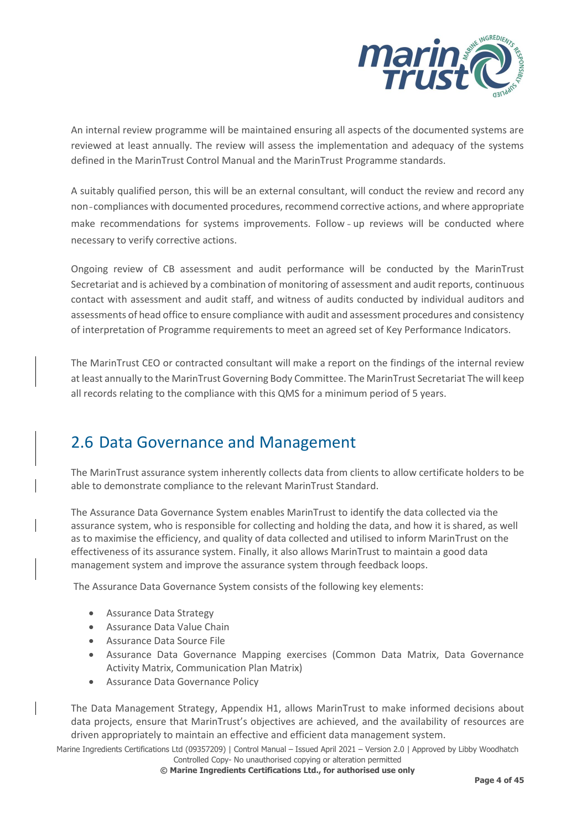

An internal review programme will be maintained ensuring all aspects of the documented systems are reviewed at least annually. The review will assess the implementation and adequacy of the systems defined in the MarinTrust Control Manual and the MarinTrust Programme standards.

A suitably qualified person, this will be an external consultant, will conduct the review and record any non‐compliances with documented procedures, recommend corrective actions, and where appropriate make recommendations for systems improvements. Follow‐up reviews will be conducted where necessary to verify corrective actions.

Ongoing review of CB assessment and audit performance will be conducted by the MarinTrust Secretariat and is achieved by a combination of monitoring of assessment and audit reports, continuous contact with assessment and audit staff, and witness of audits conducted by individual auditors and assessments of head office to ensure compliance with audit and assessment procedures and consistency of interpretation of Programme requirements to meet an agreed set of Key Performance Indicators.

The MarinTrust CEO or contracted consultant will make a report on the findings of the internal review at least annually to the MarinTrust Governing Body Committee. The MarinTrust Secretariat The will keep all records relating to the compliance with this QMS for a minimum period of 5 years.

## <span id="page-10-0"></span>2.6 Data Governance and Management

The MarinTrust assurance system inherently collects data from clients to allow certificate holders to be able to demonstrate compliance to the relevant MarinTrust Standard.

The Assurance Data Governance System enables MarinTrust to identify the data collected via the assurance system, who is responsible for collecting and holding the data, and how it is shared, as well as to maximise the efficiency, and quality of data collected and utilised to inform MarinTrust on the effectiveness of its assurance system. Finally, it also allows MarinTrust to maintain a good data management system and improve the assurance system through feedback loops.

The Assurance Data Governance System consists of the following key elements:

- Assurance Data Strategy
- Assurance Data Value Chain
- Assurance Data Source File
- Assurance Data Governance Mapping exercises (Common Data Matrix, Data Governance Activity Matrix, Communication Plan Matrix)
- Assurance Data Governance Policy

The Data Management Strategy, Appendix H1, allows MarinTrust to make informed decisions about data projects, ensure that MarinTrust's objectives are achieved, and the availability of resources are driven appropriately to maintain an effective and efficient data management system.

Marine Ingredients Certifications Ltd (09357209) | Control Manual – Issued April 2021 – Version 2.0 | Approved by Libby Woodhatch Controlled Copy- No unauthorised copying or alteration permitted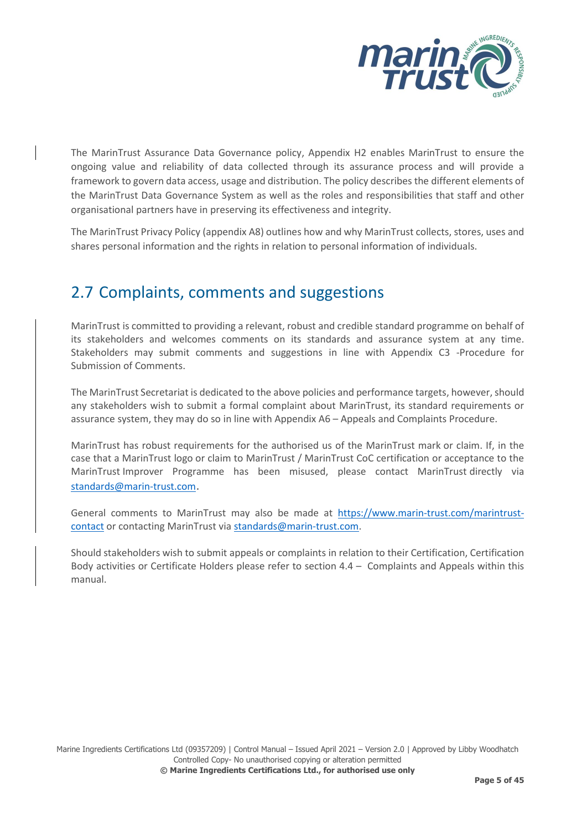

The MarinTrust Assurance Data Governance policy, Appendix H2 enables MarinTrust to ensure the ongoing value and reliability of data collected through its assurance process and will provide a framework to govern data access, usage and distribution. The policy describes the different elements of the MarinTrust Data Governance System as well as the roles and responsibilities that staff and other organisational partners have in preserving its effectiveness and integrity.

The MarinTrust Privacy Policy (appendix A8) outlines how and why MarinTrust collects, stores, uses and shares personal information and the rights in relation to personal information of individuals.

## <span id="page-11-0"></span>2.7 Complaints, comments and suggestions

MarinTrust is committed to providing a relevant, robust and credible standard programme on behalf of its stakeholders and welcomes comments on its standards and assurance system at any time. Stakeholders may submit comments and suggestions in line with Appendix C3 -Procedure for Submission of Comments.

The MarinTrust Secretariat is dedicated to the above policies and performance targets, however, should any stakeholders wish to submit a formal complaint about MarinTrust, its standard requirements or assurance system, they may do so in line with Appendix A6 – Appeals and Complaints Procedure.

MarinTrust has robust requirements for the authorised us of the MarinTrust mark or claim. If, in the case that a MarinTrust logo or claim to MarinTrust / MarinTrust CoC certification or acceptance to the MarinTrust Improver Programme has been misused, please contact MarinTrust directly via [standards@marin-trust.com](mailto:standards@marin-trust.com).

General comments to MarinTrust may also be made at [https://www.marin-trust.com/marintrust](https://www.marin-trust.com/marintrust-contact)[contact](https://www.marin-trust.com/marintrust-contact) or contacting MarinTrust via [standards@marin-trust.com.](mailto:standards@marin-trust.com)

Should stakeholders wish to submit appeals or complaints in relation to their Certification, Certification Body activities or Certificate Holders please refer to section  $4.4 -$  Complaints and Appeals within this manual.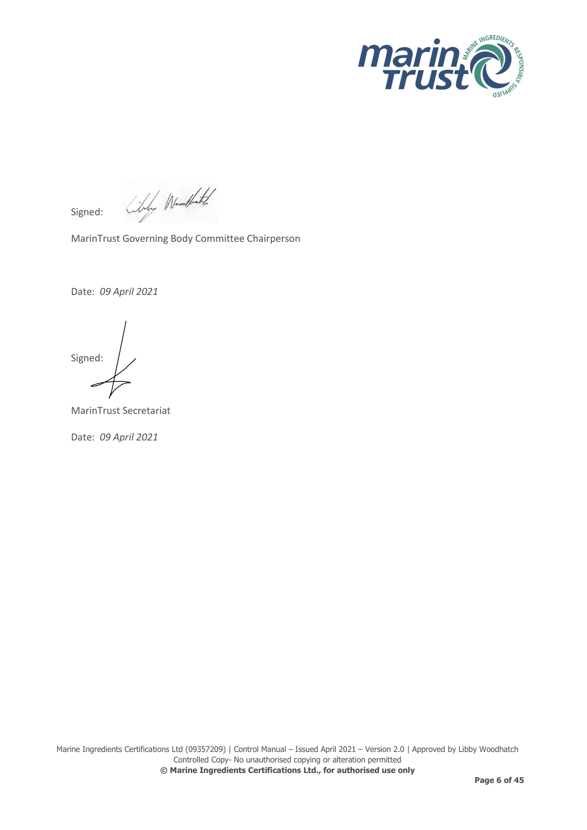

Liby Wedlet Signed:

MarinTrust Governing Body Committee Chairperson

Date: *09 April 2021*

Signed:

MarinTrust Secretariat

Date: *09 April 2021*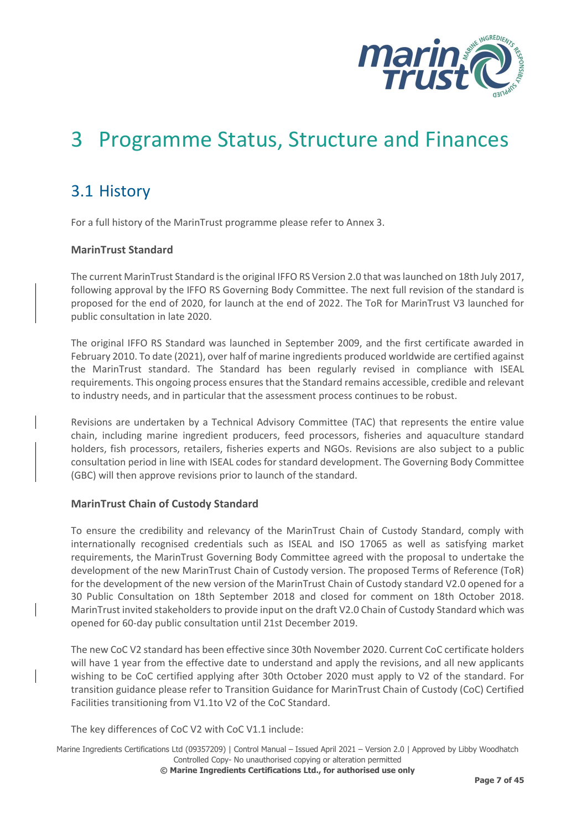

## <span id="page-13-0"></span>3 Programme Status, Structure and Finances

## <span id="page-13-1"></span>3.1 History

For a full history of the MarinTrust programme please refer to Annex 3.

#### **MarinTrust Standard**

The current MarinTrust Standard is the original IFFO RS Version 2.0 that was launched on 18th July 2017, following approval by the IFFO RS Governing Body Committee. The next full revision of the standard is proposed for the end of 2020, for launch at the end of 2022. The ToR for MarinTrust V3 launched for public consultation in late 2020.

The original IFFO RS Standard was launched in September 2009, and the first certificate awarded in February 2010. To date (2021), over half of marine ingredients produced worldwide are certified against the MarinTrust standard. The Standard has been regularly revised in compliance with ISEAL requirements. This ongoing process ensures that the Standard remains accessible, credible and relevant to industry needs, and in particular that the assessment process continues to be robust.

Revisions are undertaken by a Technical Advisory Committee (TAC) that represents the entire value chain, including marine ingredient producers, feed processors, fisheries and aquaculture standard holders, fish processors, retailers, fisheries experts and NGOs. Revisions are also subject to a public consultation period in line with ISEAL codes for standard development. The Governing Body Committee (GBC) will then approve revisions prior to launch of the standard.

#### **MarinTrust Chain of Custody Standard**

To ensure the credibility and relevancy of the MarinTrust Chain of Custody Standard, comply with internationally recognised credentials such as ISEAL and ISO 17065 as well as satisfying market requirements, the MarinTrust Governing Body Committee agreed with the proposal to undertake the development of the new MarinTrust Chain of Custody version. The proposed Terms of Reference (ToR) for the development of the new version of the MarinTrust Chain of Custody standard V2.0 opened for a 30 Public Consultation on 18th September 2018 and closed for comment on 18th October 2018. MarinTrust invited stakeholders to provide input on the draft V2.0 Chain of Custody Standard which was opened for 60-day public consultation until 21st December 2019.

The new CoC V2 standard has been effective since 30th November 2020. Current CoC certificate holders will have 1 year from the effective date to understand and apply the revisions, and all new applicants wishing to be CoC certified applying after 30th October 2020 must apply to V2 of the standard. For transition guidance please refer to Transition Guidance for MarinTrust Chain of Custody (CoC) Certified Facilities transitioning from V1.1to V2 of the CoC Standard.

The key differences of CoC V2 with CoC V1.1 include: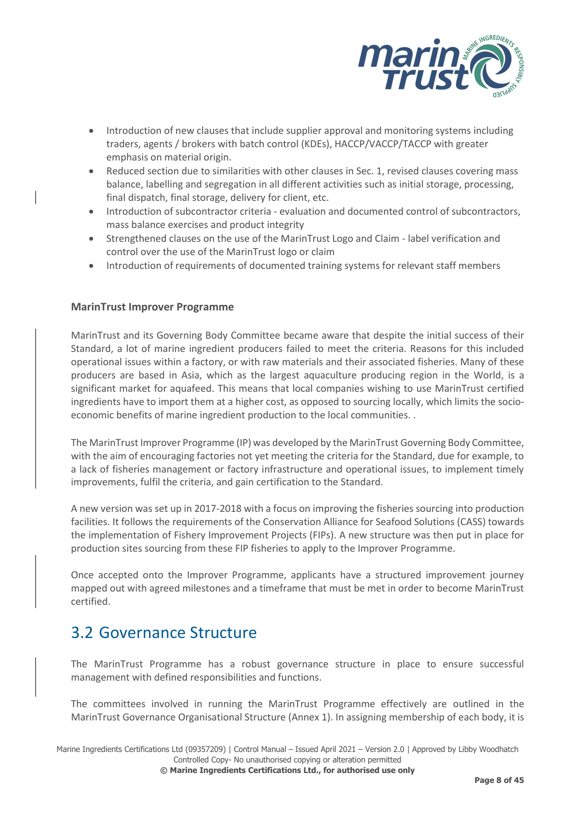

- Introduction of new clauses that include supplier approval and monitoring systems including traders, agents / brokers with batch control (KDEs), HACCP/VACCP/TACCP with greater emphasis on material origin.
- Reduced section due to similarities with other clauses in Sec. 1, revised clauses covering mass balance, labelling and segregation in all different activities such as initial storage, processing, final dispatch, final storage, delivery for client, etc.
- Introduction of subcontractor criteria evaluation and documented control of subcontractors, mass balance exercises and product integrity
- Strengthened clauses on the use of the MarinTrust Logo and Claim label verification and control over the use of the MarinTrust logo or claim
- Introduction of requirements of documented training systems for relevant staff members

#### **MarinTrust Improver Programme**

MarinTrust and its Governing Body Committee became aware that despite the initial success of their Standard, a lot of marine ingredient producers failed to meet the criteria. Reasons for this included operational issues within a factory, or with raw materials and their associated fisheries. Many of these producers are based in Asia, which as the largest aquaculture producing region in the World, is a significant market for aquafeed. This means that local companies wishing to use MarinTrust certified ingredients have to import them at a higher cost, as opposed to sourcing locally, which limits the socioeconomic benefits of marine ingredient production to the local communities. .

The MarinTrust Improver Programme (IP) was developed by the MarinTrust Governing Body Committee, with the aim of encouraging factories not yet meeting the criteria for the Standard, due for example, to a lack of fisheries management or factory infrastructure and operational issues, to implement timely improvements, fulfil the criteria, and gain certification to the Standard.

A new version was set up in 2017-2018 with a focus on improving the fisheries sourcing into production facilities. It follows the requirements of the Conservation Alliance for Seafood Solutions (CASS) towards the implementation of Fishery Improvement Projects (FIPs). A new structure was then put in place for production sites sourcing from these FIP fisheries to apply to the Improver Programme.

Once accepted onto the Improver Programme, applicants have a structured improvement journey mapped out with agreed milestones and a timeframe that must be met in order to become MarinTrust certified.

## <span id="page-14-0"></span>3.2 Governance Structure

The MarinTrust Programme has a robust governance structure in place to ensure successful management with defined responsibilities and functions.

The committees involved in running the MarinTrust Programme effectively are outlined in the MarinTrust Governance Organisational Structure (Annex 1). In assigning membership of each body, it is

Marine Ingredients Certifications Ltd (09357209) | Control Manual – Issued April 2021 – Version 2.0 | Approved by Libby Woodhatch Controlled Copy- No unauthorised copying or alteration permitted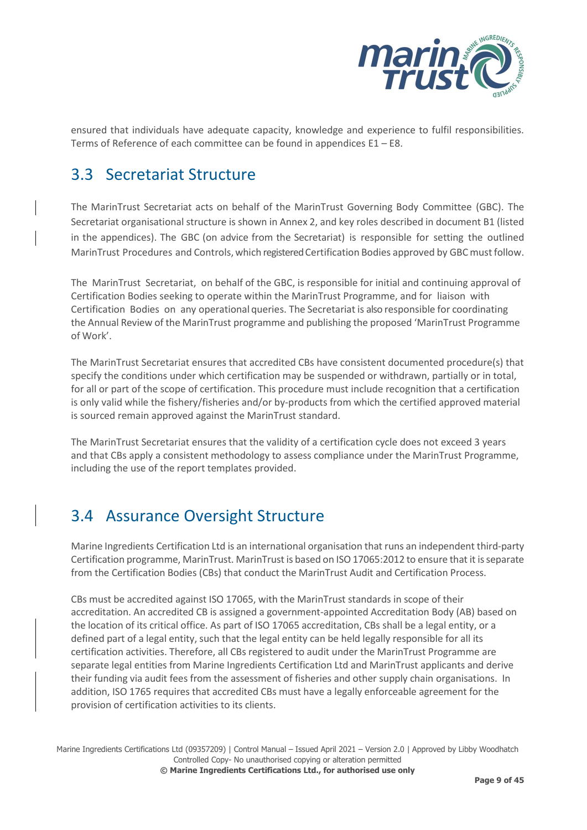

ensured that individuals have adequate capacity, knowledge and experience to fulfil responsibilities. Terms of Reference of each committee can be found in appendices E1 – E8.

## <span id="page-15-0"></span>3.3 Secretariat Structure

The MarinTrust Secretariat acts on behalf of the MarinTrust Governing Body Committee (GBC). The Secretariat organisational structure is shown in Annex 2, and key roles described in document B1 (listed in the appendices). The GBC (on advice from the Secretariat) is responsible for setting the outlined MarinTrust Procedures and Controls, which registered Certification Bodies approved by GBC must follow.

The MarinTrust Secretariat, on behalf of the GBC, is responsible for initial and continuing approval of Certification Bodies seeking to operate within the MarinTrust Programme, and for liaison with Certification Bodies on any operational queries. The Secretariat is also responsible for coordinating the Annual Review of the MarinTrust programme and publishing the proposed 'MarinTrust Programme of Work'.

The MarinTrust Secretariat ensures that accredited CBs have consistent documented procedure(s) that specify the conditions under which certification may be suspended or withdrawn, partially or in total, for all or part of the scope of certification. This procedure must include recognition that a certification is only valid while the fishery/fisheries and/or by-products from which the certified approved material is sourced remain approved against the MarinTrust standard.

The MarinTrust Secretariat ensures that the validity of a certification cycle does not exceed 3 years and that CBs apply a consistent methodology to assess compliance under the MarinTrust Programme, including the use of the report templates provided.

## <span id="page-15-1"></span>3.4 Assurance Oversight Structure

Marine Ingredients Certification Ltd is an international organisation that runs an independent third-party Certification programme, MarinTrust. MarinTrust is based on ISO 17065:2012 to ensure that it is separate from the Certification Bodies (CBs) that conduct the MarinTrust Audit and Certification Process.

CBs must be accredited against ISO 17065, with the MarinTrust standards in scope of their accreditation. An accredited CB is assigned a government-appointed Accreditation Body (AB) based on the location of its critical office. As part of ISO 17065 accreditation, CBs shall be a legal entity, or a defined part of a legal entity, such that the legal entity can be held legally responsible for all its certification activities. Therefore, all CBs registered to audit under the MarinTrust Programme are separate legal entities from Marine Ingredients Certification Ltd and MarinTrust applicants and derive their funding via audit fees from the assessment of fisheries and other supply chain organisations. In addition, ISO 1765 requires that accredited CBs must have a legally enforceable agreement for the provision of certification activities to its clients.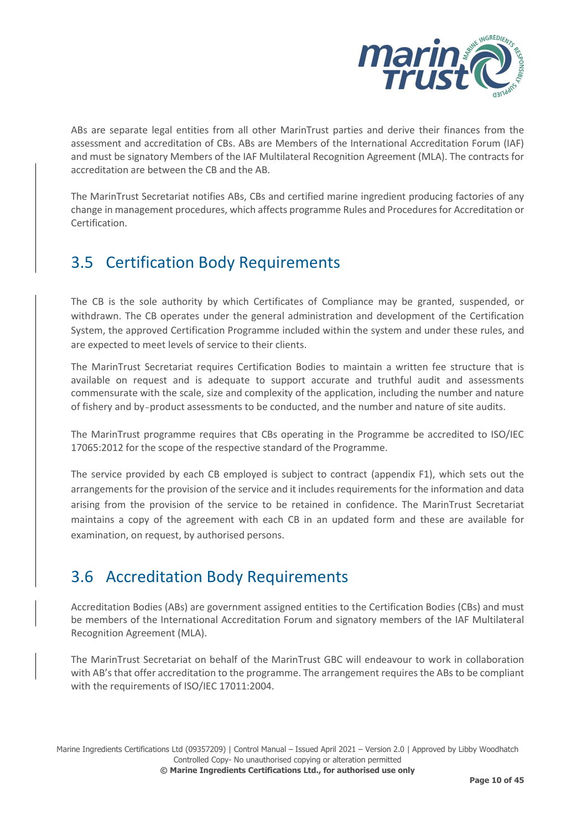

ABs are separate legal entities from all other MarinTrust parties and derive their finances from the assessment and accreditation of CBs. ABs are Members of the International Accreditation Forum (IAF) and must be signatory Members of the IAF Multilateral Recognition Agreement (MLA). The contracts for accreditation are between the CB and the AB.

The MarinTrust Secretariat notifies ABs, CBs and certified marine ingredient producing factories of any change in management procedures, which affects programme Rules and Procedures for Accreditation or Certification.

## <span id="page-16-0"></span>3.5 Certification Body Requirements

The CB is the sole authority by which Certificates of Compliance may be granted, suspended, or withdrawn. The CB operates under the general administration and development of the Certification System, the approved Certification Programme included within the system and under these rules, and are expected to meet levels of service to their clients.

The MarinTrust Secretariat requires Certification Bodies to maintain a written fee structure that is available on request and is adequate to support accurate and truthful audit and assessments commensurate with the scale, size and complexity of the application, including the number and nature of fishery and by‐product assessments to be conducted, and the number and nature of site audits.

The MarinTrust programme requires that CBs operating in the Programme be accredited to ISO/IEC 17065:2012 for the scope of the respective standard of the Programme.

The service provided by each CB employed is subject to contract (appendix F1), which sets out the arrangements for the provision of the service and it includes requirements for the information and data arising from the provision of the service to be retained in confidence. The MarinTrust Secretariat maintains a copy of the agreement with each CB in an updated form and these are available for examination, on request, by authorised persons.

## <span id="page-16-1"></span>3.6 Accreditation Body Requirements

Accreditation Bodies (ABs) are government assigned entities to the Certification Bodies (CBs) and must be members of the International Accreditation Forum and signatory members of the IAF Multilateral Recognition Agreement (MLA).

The MarinTrust Secretariat on behalf of the MarinTrust GBC will endeavour to work in collaboration with AB's that offer accreditation to the programme. The arrangement requires the ABs to be compliant with the requirements of ISO/IEC 17011:2004.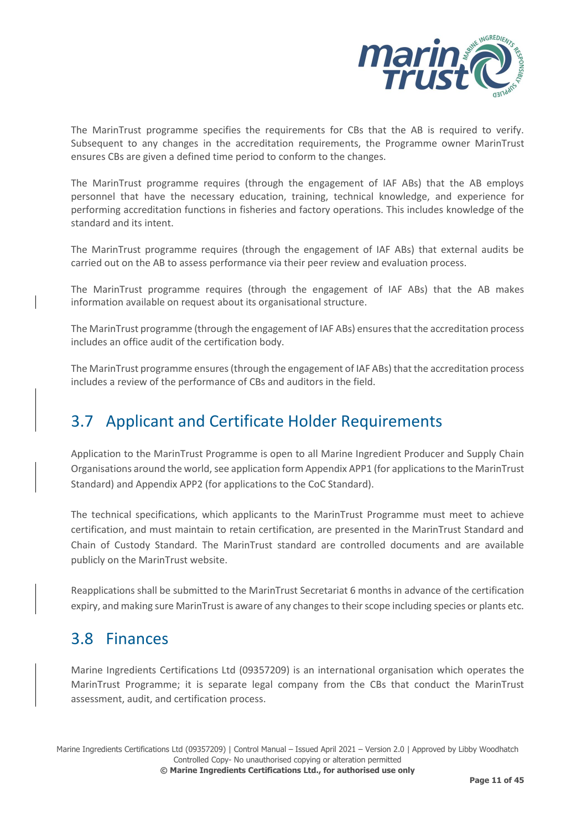

The MarinTrust programme specifies the requirements for CBs that the AB is required to verify. Subsequent to any changes in the accreditation requirements, the Programme owner MarinTrust ensures CBs are given a defined time period to conform to the changes.

The MarinTrust programme requires (through the engagement of IAF ABs) that the AB employs personnel that have the necessary education, training, technical knowledge, and experience for performing accreditation functions in fisheries and factory operations. This includes knowledge of the standard and its intent.

The MarinTrust programme requires (through the engagement of IAF ABs) that external audits be carried out on the AB to assess performance via their peer review and evaluation process.

The MarinTrust programme requires (through the engagement of IAF ABs) that the AB makes information available on request about its organisational structure.

The MarinTrust programme (through the engagement of IAF ABs) ensures that the accreditation process includes an office audit of the certification body.

The MarinTrust programme ensures (through the engagement of IAF ABs) that the accreditation process includes a review of the performance of CBs and auditors in the field.

## <span id="page-17-0"></span>3.7 Applicant and Certificate Holder Requirements

Application to the MarinTrust Programme is open to all Marine Ingredient Producer and Supply Chain Organisations around the world, see application form Appendix APP1 (for applications to the MarinTrust Standard) and Appendix APP2 (for applications to the CoC Standard).

The technical specifications, which applicants to the MarinTrust Programme must meet to achieve certification, and must maintain to retain certification, are presented in the MarinTrust Standard and Chain of Custody Standard. The MarinTrust standard are controlled documents and are available publicly on the MarinTrust website.

Reapplications shall be submitted to the MarinTrust Secretariat 6 months in advance of the certification expiry, and making sure MarinTrust is aware of any changes to their scope including species or plants etc.

### <span id="page-17-1"></span>3.8 Finances

Marine Ingredients Certifications Ltd (09357209) is an international organisation which operates the MarinTrust Programme; it is separate legal company from the CBs that conduct the MarinTrust assessment, audit, and certification process.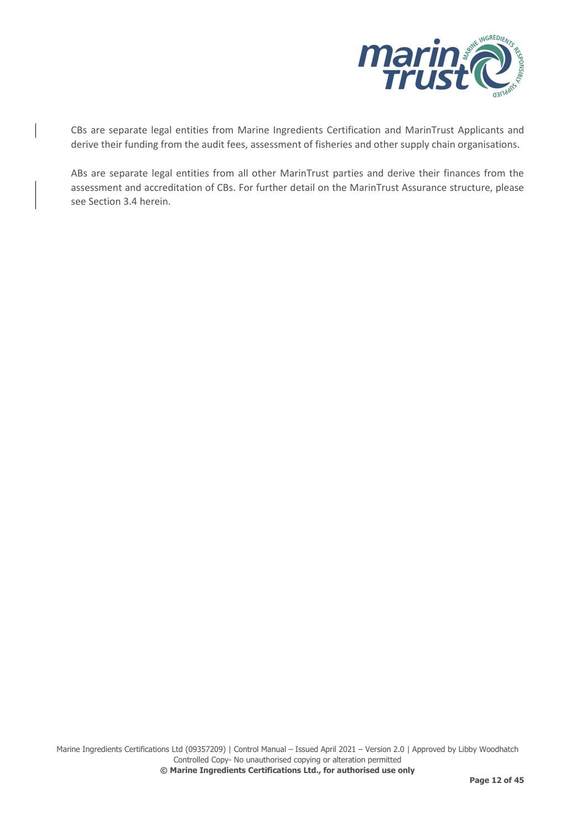

CBs are separate legal entities from Marine Ingredients Certification and MarinTrust Applicants and derive their funding from the audit fees, assessment of fisheries and other supply chain organisations.

ABs are separate legal entities from all other MarinTrust parties and derive their finances from the assessment and accreditation of CBs. For further detail on the MarinTrust Assurance structure, please see Section 3.4 herein.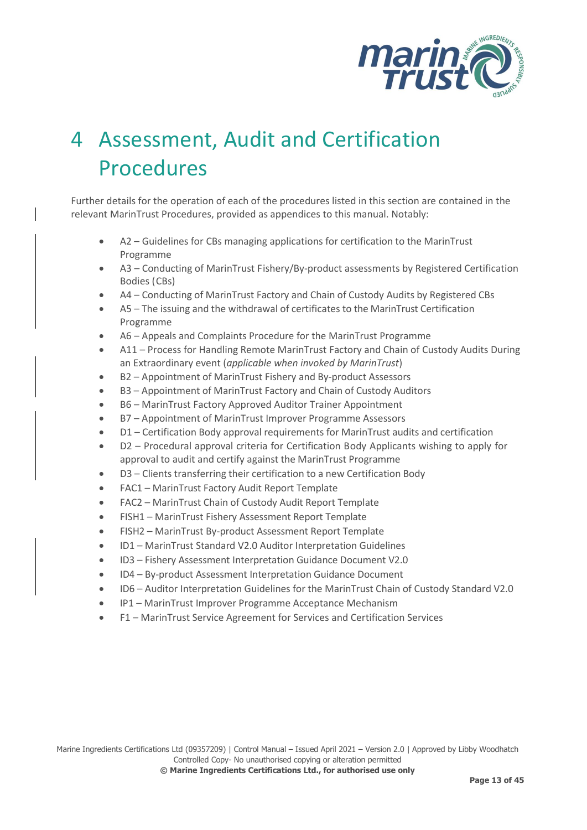

# <span id="page-19-0"></span>4 Assessment, Audit and Certification Procedures

Further details for the operation of each of the procedures listed in this section are contained in the relevant MarinTrust Procedures, provided as appendices to this manual. Notably:

- A2 Guidelines for CBs managing applications for certification to the MarinTrust Programme
- A3 Conducting of MarinTrust Fishery/By‐product assessments by Registered Certification Bodies (CBs)
- A4 Conducting of MarinTrust Factory and Chain of Custody Audits by Registered CBs
- A5 The issuing and the withdrawal of certificates to the MarinTrust Certification Programme
- A6 Appeals and Complaints Procedure for the MarinTrust Programme
- A11 Process for Handling Remote MarinTrust Factory and Chain of Custody Audits During an Extraordinary event (*applicable when invoked by MarinTrust*)
- B2 Appointment of MarinTrust Fishery and By-product Assessors
- B3 Appointment of MarinTrust Factory and Chain of Custody Auditors
- B6 MarinTrust Factory Approved Auditor Trainer Appointment
- B7 Appointment of MarinTrust Improver Programme Assessors
- D1 Certification Body approval requirements for MarinTrust audits and certification
- D2 Procedural approval criteria for Certification Body Applicants wishing to apply for approval to audit and certify against the MarinTrust Programme
- D3 Clients transferring their certification to a new Certification Body
- FAC1 MarinTrust Factory Audit Report Template
- FAC2 MarinTrust Chain of Custody Audit Report Template
- FISH1 MarinTrust Fishery Assessment Report Template
- FISH2 MarinTrust By-product Assessment Report Template
- ID1 MarinTrust Standard V2.0 Auditor Interpretation Guidelines
- ID3 Fishery Assessment Interpretation Guidance Document V2.0
- ID4 By-product Assessment Interpretation Guidance Document
- ID6 Auditor Interpretation Guidelines for the MarinTrust Chain of Custody Standard V2.0
- IP1 MarinTrust Improver Programme Acceptance Mechanism
- F1 MarinTrust Service Agreement for Services and Certification Services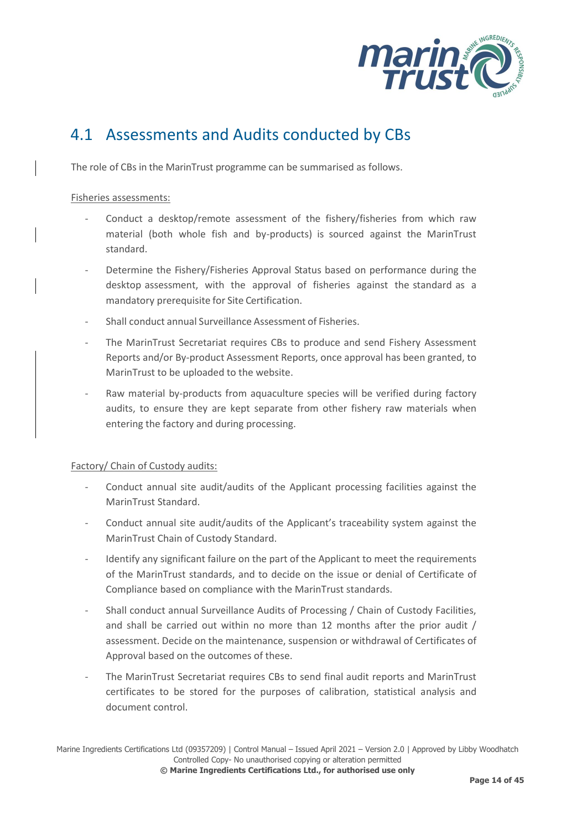

## <span id="page-20-0"></span>4.1 Assessments and Audits conducted by CBs

The role of CBs in the MarinTrust programme can be summarised as follows.

#### Fisheries assessments:

- Conduct a desktop/remote assessment of the fishery/fisheries from which raw material (both whole fish and by-products) is sourced against the MarinTrust standard.
- Determine the Fishery/Fisheries Approval Status based on performance during the desktop assessment, with the approval of fisheries against the standard as a mandatory prerequisite for Site Certification.
- Shall conduct annual Surveillance Assessment of Fisheries.
- The MarinTrust Secretariat requires CBs to produce and send Fishery Assessment Reports and/or By-product Assessment Reports, once approval has been granted, to MarinTrust to be uploaded to the website.
- Raw material by-products from aquaculture species will be verified during factory audits, to ensure they are kept separate from other fishery raw materials when entering the factory and during processing.

#### Factory/ Chain of Custody audits:

- Conduct annual site audit/audits of the Applicant processing facilities against the MarinTrust Standard.
- Conduct annual site audit/audits of the Applicant's traceability system against the MarinTrust Chain of Custody Standard.
- Identify any significant failure on the part of the Applicant to meet the requirements of the MarinTrust standards, and to decide on the issue or denial of Certificate of Compliance based on compliance with the MarinTrust standards.
- Shall conduct annual Surveillance Audits of Processing / Chain of Custody Facilities, and shall be carried out within no more than 12 months after the prior audit / assessment. Decide on the maintenance, suspension or withdrawal of Certificates of Approval based on the outcomes of these.
- The MarinTrust Secretariat requires CBs to send final audit reports and MarinTrust certificates to be stored for the purposes of calibration, statistical analysis and document control.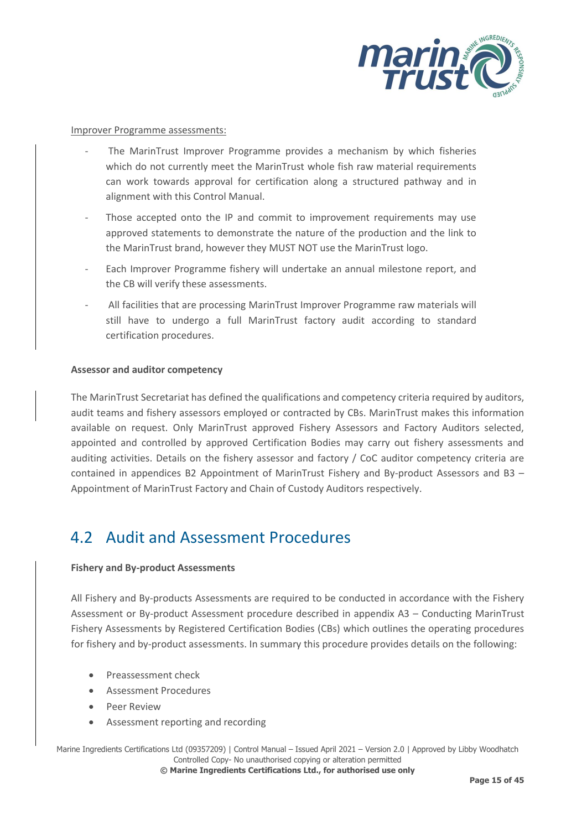

#### Improver Programme assessments:

- The MarinTrust Improver Programme provides a mechanism by which fisheries which do not currently meet the MarinTrust whole fish raw material requirements can work towards approval for certification along a structured pathway and in alignment with this Control Manual.
- Those accepted onto the IP and commit to improvement requirements may use approved statements to demonstrate the nature of the production and the link to the MarinTrust brand, however they MUST NOT use the MarinTrust logo.
- Each Improver Programme fishery will undertake an annual milestone report, and the CB will verify these assessments.
- All facilities that are processing MarinTrust Improver Programme raw materials will still have to undergo a full MarinTrust factory audit according to standard certification procedures.

#### **Assessor and auditor competency**

The MarinTrust Secretariat has defined the qualifications and competency criteria required by auditors, audit teams and fishery assessors employed or contracted by CBs. MarinTrust makes this information available on request. Only MarinTrust approved Fishery Assessors and Factory Auditors selected, appointed and controlled by approved Certification Bodies may carry out fishery assessments and auditing activities. Details on the fishery assessor and factory / CoC auditor competency criteria are contained in appendices B2 Appointment of MarinTrust Fishery and By-product Assessors and B3 – Appointment of MarinTrust Factory and Chain of Custody Auditors respectively.

### <span id="page-21-0"></span>4.2 Audit and Assessment Procedures

#### **Fishery and By-product Assessments**

All Fishery and By-products Assessments are required to be conducted in accordance with the Fishery Assessment or By-product Assessment procedure described in appendix A3 – Conducting MarinTrust Fishery Assessments by Registered Certification Bodies (CBs) which outlines the operating procedures for fishery and by-product assessments. In summary this procedure provides details on the following:

- Preassessment check
- Assessment Procedures
- Peer Review
- Assessment reporting and recording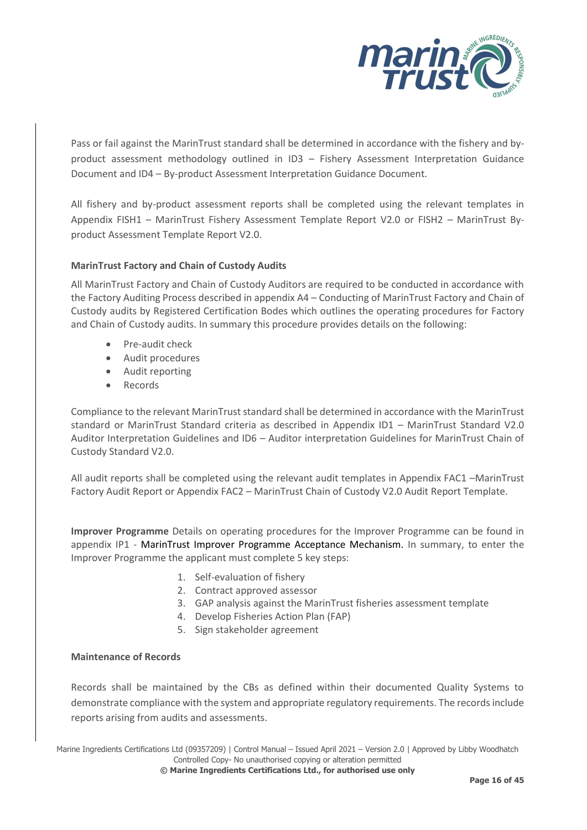

Pass or fail against the MarinTrust standard shall be determined in accordance with the fishery and byproduct assessment methodology outlined in ID3 – Fishery Assessment Interpretation Guidance Document and ID4 – By-product Assessment Interpretation Guidance Document.

All fishery and by-product assessment reports shall be completed using the relevant templates in Appendix FISH1 – MarinTrust Fishery Assessment Template Report V2.0 or FISH2 – MarinTrust Byproduct Assessment Template Report V2.0.

#### **MarinTrust Factory and Chain of Custody Audits**

All MarinTrust Factory and Chain of Custody Auditors are required to be conducted in accordance with the Factory Auditing Process described in appendix A4 – Conducting of MarinTrust Factory and Chain of Custody audits by Registered Certification Bodes which outlines the operating procedures for Factory and Chain of Custody audits. In summary this procedure provides details on the following:

- Pre-audit check
- Audit procedures
- Audit reporting
- Records

Compliance to the relevant MarinTrust standard shall be determined in accordance with the MarinTrust standard or MarinTrust Standard criteria as described in Appendix ID1 – MarinTrust Standard V2.0 Auditor Interpretation Guidelines and ID6 – Auditor interpretation Guidelines for MarinTrust Chain of Custody Standard V2.0.

All audit reports shall be completed using the relevant audit templates in Appendix FAC1 –MarinTrust Factory Audit Report or Appendix FAC2 – MarinTrust Chain of Custody V2.0 Audit Report Template.

**Improver Programme** Details on operating procedures for the Improver Programme can be found in appendix IP1 - MarinTrust Improver Programme Acceptance Mechanism. In summary, to enter the Improver Programme the applicant must complete 5 key steps:

- 1. Self-evaluation of fishery
- 2. Contract approved assessor
- 3. GAP analysis against the MarinTrust fisheries assessment template
- 4. Develop Fisheries Action Plan (FAP)
- 5. Sign stakeholder agreement

#### **Maintenance of Records**

Records shall be maintained by the CBs as defined within their documented Quality Systems to demonstrate compliance with the system and appropriate regulatory requirements. The records include reports arising from audits and assessments.

Marine Ingredients Certifications Ltd (09357209) | Control Manual – Issued April 2021 – Version 2.0 | Approved by Libby Woodhatch Controlled Copy- No unauthorised copying or alteration permitted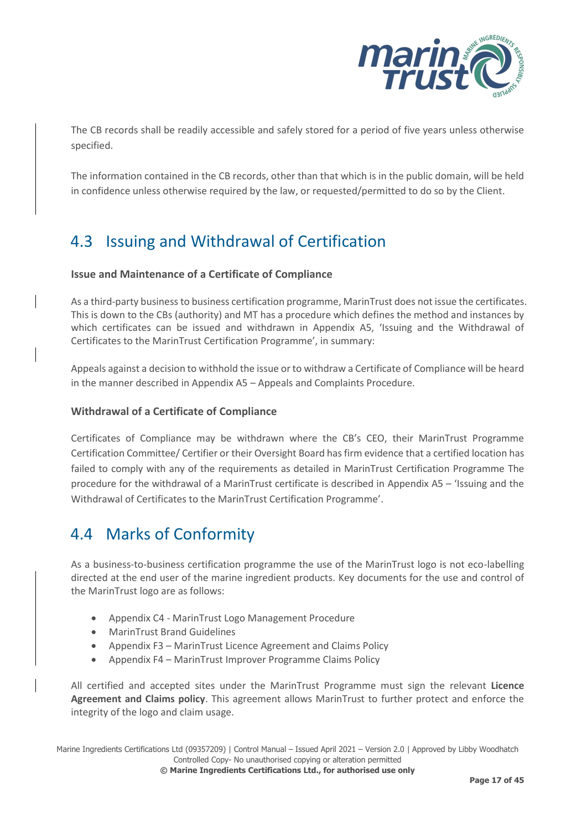

The CB records shall be readily accessible and safely stored for a period of five years unless otherwise specified.

The information contained in the CB records, other than that which is in the public domain, will be held in confidence unless otherwise required by the law, or requested/permitted to do so by the Client.

## <span id="page-23-0"></span>4.3 Issuing and Withdrawal of Certification

#### **Issue and Maintenance of a Certificate of Compliance**

As a third-party business to business certification programme, MarinTrust does not issue the certificates. This is down to the CBs (authority) and MT has a procedure which defines the method and instances by which certificates can be issued and withdrawn in Appendix A5, 'Issuing and the Withdrawal of Certificates to the MarinTrust Certification Programme', in summary:

Appeals against a decision to withhold the issue or to withdraw a Certificate of Compliance will be heard in the manner described in Appendix A5 – Appeals and Complaints Procedure.

#### **Withdrawal of a Certificate of Compliance**

Certificates of Compliance may be withdrawn where the CB's CEO, their MarinTrust Programme Certification Committee/ Certifier or their Oversight Board has firm evidence that a certified location has failed to comply with any of the requirements as detailed in MarinTrust Certification Programme The procedure for the withdrawal of a MarinTrust certificate is described in Appendix A5 – 'Issuing and the Withdrawal of Certificates to the MarinTrust Certification Programme'.

### <span id="page-23-1"></span>4.4 Marks of Conformity

As a business-to-business certification programme the use of the MarinTrust logo is not eco-labelling directed at the end user of the marine ingredient products. Key documents for the use and control of the MarinTrust logo are as follows:

- Appendix C4 MarinTrust Logo Management Procedure
- MarinTrust Brand Guidelines
- Appendix F3 MarinTrust Licence Agreement and Claims Policy
- Appendix F4 MarinTrust Improver Programme Claims Policy

All certified and accepted sites under the MarinTrust Programme must sign the relevant **Licence Agreement and Claims policy**. This agreement allows MarinTrust to further protect and enforce the integrity of the logo and claim usage.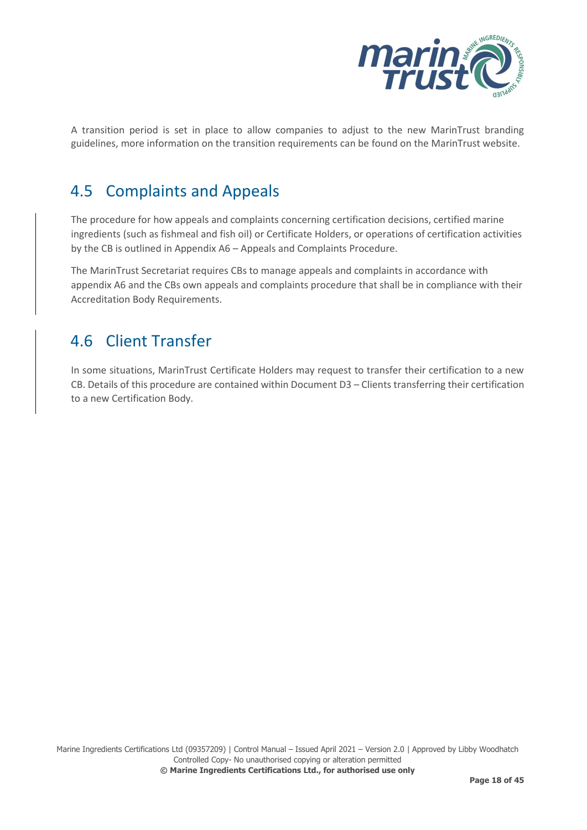

A transition period is set in place to allow companies to adjust to the new MarinTrust branding guidelines, more information on the transition requirements can be found on the MarinTrust website.

## <span id="page-24-0"></span>4.5 Complaints and Appeals

The procedure for how appeals and complaints concerning certification decisions, certified marine ingredients (such as fishmeal and fish oil) or Certificate Holders, or operations of certification activities by the CB is outlined in Appendix A6 – Appeals and Complaints Procedure.

The MarinTrust Secretariat requires CBs to manage appeals and complaints in accordance with appendix A6 and the CBs own appeals and complaints procedure that shall be in compliance with their Accreditation Body Requirements.

## <span id="page-24-1"></span>4.6 Client Transfer

In some situations, MarinTrust Certificate Holders may request to transfer their certification to a new CB. Details of this procedure are contained within Document D3 – Clients transferring their certification to a new Certification Body.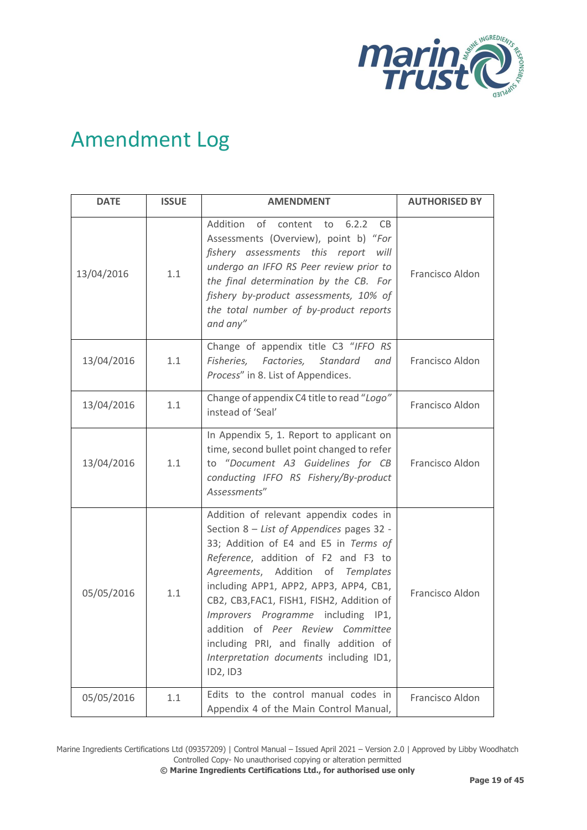

## <span id="page-25-0"></span>Amendment Log

| <b>DATE</b> | <b>ISSUE</b> | <b>AMENDMENT</b>                                                                                                                                                                                                                                                                                                                                                                                                                                                               | <b>AUTHORISED BY</b> |
|-------------|--------------|--------------------------------------------------------------------------------------------------------------------------------------------------------------------------------------------------------------------------------------------------------------------------------------------------------------------------------------------------------------------------------------------------------------------------------------------------------------------------------|----------------------|
| 13/04/2016  | 1.1          | Addition<br>of content<br>6.2.2<br>to<br>CB.<br>Assessments (Overview), point b) "For<br>fishery assessments this report will<br>undergo an IFFO RS Peer review prior to<br>the final determination by the CB. For<br>fishery by-product assessments, 10% of<br>the total number of by-product reports<br>and any"                                                                                                                                                             | Francisco Aldon      |
| 13/04/2016  | 1.1          | Change of appendix title C3 "IFFO RS<br>Fisheries, Factories,<br>Standard<br>and<br>Process" in 8. List of Appendices.                                                                                                                                                                                                                                                                                                                                                         | Francisco Aldon      |
| 13/04/2016  | 1.1          | Change of appendix C4 title to read "Logo"<br>instead of 'Seal'                                                                                                                                                                                                                                                                                                                                                                                                                | Francisco Aldon      |
| 13/04/2016  | 1.1          | In Appendix 5, 1. Report to applicant on<br>time, second bullet point changed to refer<br>to "Document A3 Guidelines for CB<br>conducting IFFO RS Fishery/By-product<br>Assessments"                                                                                                                                                                                                                                                                                           | Francisco Aldon      |
| 05/05/2016  | 1.1          | Addition of relevant appendix codes in<br>Section 8 - List of Appendices pages 32 -<br>33; Addition of E4 and E5 in Terms of<br>Reference, addition of F2 and F3 to<br>Agreements, Addition of<br>Templates<br>including APP1, APP2, APP3, APP4, CB1,<br>CB2, CB3, FAC1, FISH1, FISH2, Addition of<br>Improvers Programme including IP1,<br>addition of Peer Review Committee<br>including PRI, and finally addition of<br>Interpretation documents including ID1,<br>ID2, ID3 | Francisco Aldon      |
| 05/05/2016  | 1.1          | Edits to the control manual codes in<br>Appendix 4 of the Main Control Manual,                                                                                                                                                                                                                                                                                                                                                                                                 | Francisco Aldon      |

Marine Ingredients Certifications Ltd (09357209) | Control Manual – Issued April 2021 – Version 2.0 | Approved by Libby Woodhatch Controlled Copy- No unauthorised copying or alteration permitted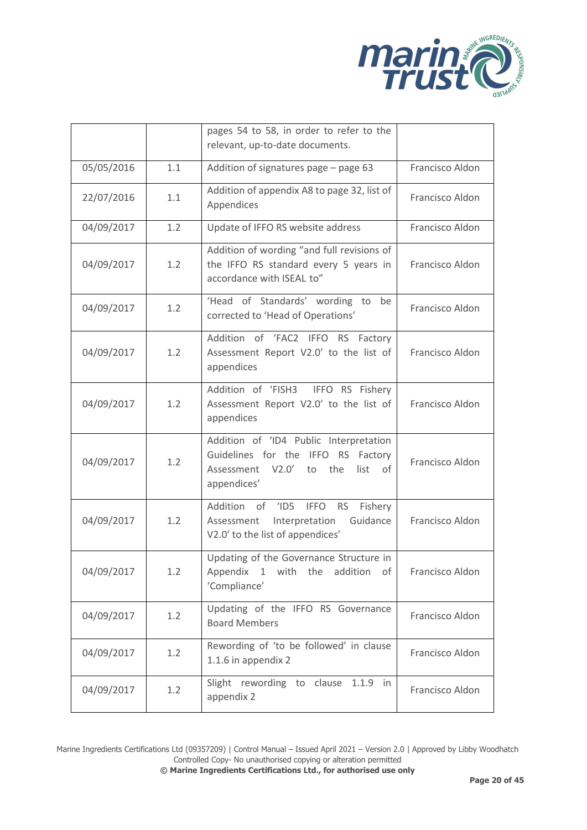

|            |     | pages 54 to 58, in order to refer to the<br>relevant, up-to-date documents.                                                                   |                 |
|------------|-----|-----------------------------------------------------------------------------------------------------------------------------------------------|-----------------|
| 05/05/2016 | 1.1 | Addition of signatures page - page 63                                                                                                         | Francisco Aldon |
| 22/07/2016 | 1.1 | Addition of appendix A8 to page 32, list of<br>Appendices                                                                                     | Francisco Aldon |
| 04/09/2017 | 1.2 | Update of IFFO RS website address                                                                                                             | Francisco Aldon |
| 04/09/2017 | 1.2 | Addition of wording "and full revisions of<br>the IFFO RS standard every 5 years in<br>accordance with ISEAL to"                              | Francisco Aldon |
| 04/09/2017 | 1.2 | 'Head of Standards' wording to<br>be<br>corrected to 'Head of Operations'                                                                     | Francisco Aldon |
| 04/09/2017 | 1.2 | Addition of 'FAC2 IFFO RS Factory<br>Assessment Report V2.0' to the list of<br>appendices                                                     | Francisco Aldon |
| 04/09/2017 | 1.2 | Addition of 'FISH3<br>IFFO RS Fishery<br>Assessment Report V2.0' to the list of<br>appendices                                                 | Francisco Aldon |
| 04/09/2017 | 1.2 | Addition of 'ID4 Public Interpretation<br>Guidelines for the IFFO RS Factory<br>V2.0'<br>the<br>Assessment<br>list<br>to<br>of<br>appendices' | Francisco Aldon |
| 04/09/2017 | 1.2 | Addition of<br>'ID5 IFFO<br><b>RS</b><br>Fishery<br>Guidance<br>Interpretation<br>Assessment<br>V2.0' to the list of appendices'              | Francisco Aldon |
| 04/09/2017 | 1.2 | Updating of the Governance Structure in<br>Appendix 1 with the<br>addition of<br>'Compliance'                                                 | Francisco Aldon |
| 04/09/2017 | 1.2 | Updating of the IFFO RS Governance<br><b>Board Members</b>                                                                                    | Francisco Aldon |
| 04/09/2017 | 1.2 | Rewording of 'to be followed' in clause<br>1.1.6 in appendix 2                                                                                | Francisco Aldon |
| 04/09/2017 | 1.2 | Slight rewording to clause<br>$1.1.9$ in<br>appendix 2                                                                                        | Francisco Aldon |

Marine Ingredients Certifications Ltd (09357209) | Control Manual – Issued April 2021 – Version 2.0 | Approved by Libby Woodhatch Controlled Copy- No unauthorised copying or alteration permitted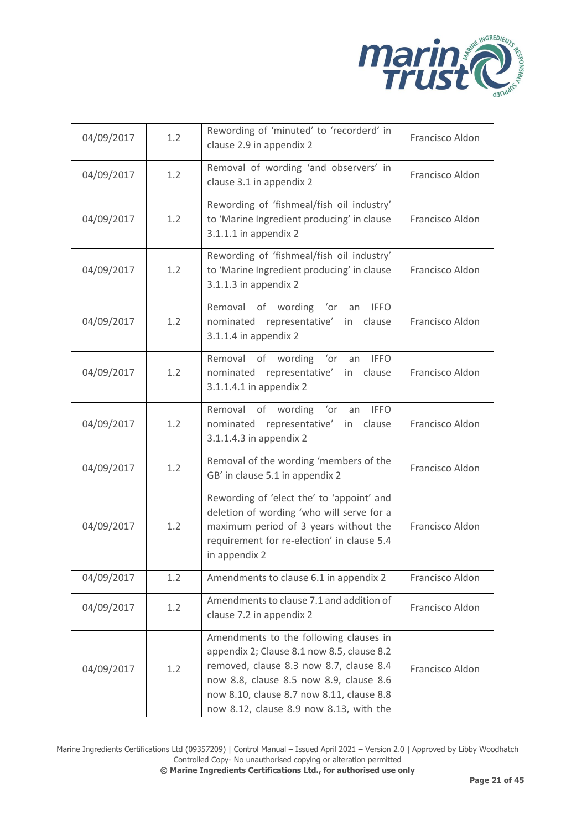

| 04/09/2017 | 1.2 | Rewording of 'minuted' to 'recorderd' in<br>clause 2.9 in appendix 2                                                                                                                                                                                               | Francisco Aldon |
|------------|-----|--------------------------------------------------------------------------------------------------------------------------------------------------------------------------------------------------------------------------------------------------------------------|-----------------|
| 04/09/2017 | 1.2 | Removal of wording 'and observers' in<br>clause 3.1 in appendix 2                                                                                                                                                                                                  | Francisco Aldon |
| 04/09/2017 | 1.2 | Rewording of 'fishmeal/fish oil industry'<br>to 'Marine Ingredient producing' in clause<br>$3.1.1.1$ in appendix 2                                                                                                                                                 | Francisco Aldon |
| 04/09/2017 | 1.2 | Rewording of 'fishmeal/fish oil industry'<br>to 'Marine Ingredient producing' in clause<br>3.1.1.3 in appendix 2                                                                                                                                                   | Francisco Aldon |
| 04/09/2017 | 1.2 | Removal of wording 'or<br><b>IFFO</b><br>an<br>representative'<br>nominated<br>clause<br>in<br>3.1.1.4 in appendix 2                                                                                                                                               | Francisco Aldon |
| 04/09/2017 | 1.2 | Removal of wording 'or an IFFO<br>representative' in<br>nominated<br>clause<br>3.1.1.4.1 in appendix 2                                                                                                                                                             | Francisco Aldon |
| 04/09/2017 | 1.2 | of wording<br>Removal<br>'or<br><b>IFFO</b><br>an<br>nominated representative'<br>in<br>clause<br>3.1.1.4.3 in appendix 2                                                                                                                                          | Francisco Aldon |
| 04/09/2017 | 1.2 | Removal of the wording 'members of the<br>GB' in clause 5.1 in appendix 2                                                                                                                                                                                          | Francisco Aldon |
| 04/09/2017 | 1.2 | Rewording of 'elect the' to 'appoint' and<br>deletion of wording 'who will serve for a<br>maximum period of 3 years without the<br>requirement for re-election' in clause 5.4<br>in appendix 2                                                                     | Francisco Aldon |
| 04/09/2017 | 1.2 | Amendments to clause 6.1 in appendix 2                                                                                                                                                                                                                             | Francisco Aldon |
| 04/09/2017 | 1.2 | Amendments to clause 7.1 and addition of<br>clause 7.2 in appendix 2                                                                                                                                                                                               | Francisco Aldon |
| 04/09/2017 | 1.2 | Amendments to the following clauses in<br>appendix 2; Clause 8.1 now 8.5, clause 8.2<br>removed, clause 8.3 now 8.7, clause 8.4<br>now 8.8, clause 8.5 now 8.9, clause 8.6<br>now 8.10, clause 8.7 now 8.11, clause 8.8<br>now 8.12, clause 8.9 now 8.13, with the | Francisco Aldon |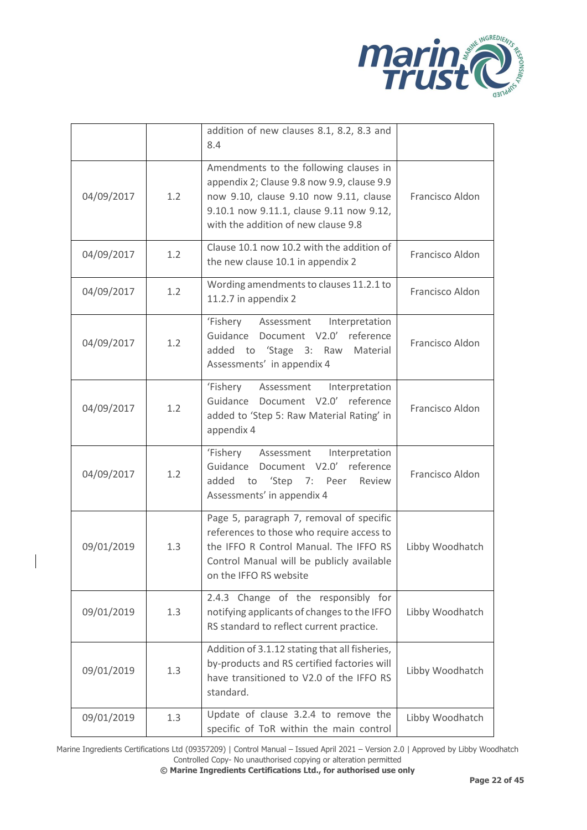

|            |     | addition of new clauses 8.1, 8.2, 8.3 and<br>8.4                                                                                                                                                                  |                 |
|------------|-----|-------------------------------------------------------------------------------------------------------------------------------------------------------------------------------------------------------------------|-----------------|
| 04/09/2017 | 1.2 | Amendments to the following clauses in<br>appendix 2; Clause 9.8 now 9.9, clause 9.9<br>now 9.10, clause 9.10 now 9.11, clause<br>9.10.1 now 9.11.1, clause 9.11 now 9.12,<br>with the addition of new clause 9.8 | Francisco Aldon |
| 04/09/2017 | 1.2 | Clause 10.1 now 10.2 with the addition of<br>the new clause 10.1 in appendix 2                                                                                                                                    | Francisco Aldon |
| 04/09/2017 | 1.2 | Wording amendments to clauses 11.2.1 to<br>11.2.7 in appendix 2                                                                                                                                                   | Francisco Aldon |
| 04/09/2017 | 1.2 | 'Fishery Assessment<br>Interpretation<br>Guidance Document V2.0' reference<br>added to 'Stage 3: Raw<br>Material<br>Assessments' in appendix 4                                                                    | Francisco Aldon |
| 04/09/2017 | 1.2 | 'Fishery<br>Assessment<br>Interpretation<br>Guidance Document V2.0' reference<br>added to 'Step 5: Raw Material Rating' in<br>appendix 4                                                                          | Francisco Aldon |
| 04/09/2017 | 1.2 | 'Fishery Assessment<br>Interpretation<br>Guidance Document V2.0' reference<br>'Step 7: Peer<br>added to<br>Review<br>Assessments' in appendix 4                                                                   | Francisco Aldon |
| 09/01/2019 | 1.3 | Page 5, paragraph 7, removal of specific<br>references to those who require access to<br>the IFFO R Control Manual. The IFFO RS<br>Control Manual will be publicly available<br>on the IFFO RS website            | Libby Woodhatch |
| 09/01/2019 | 1.3 | 2.4.3 Change of the responsibly for<br>notifying applicants of changes to the IFFO<br>RS standard to reflect current practice.                                                                                    | Libby Woodhatch |
| 09/01/2019 | 1.3 | Addition of 3.1.12 stating that all fisheries,<br>by-products and RS certified factories will<br>have transitioned to V2.0 of the IFFO RS<br>standard.                                                            | Libby Woodhatch |
| 09/01/2019 | 1.3 | Update of clause 3.2.4 to remove the<br>specific of ToR within the main control                                                                                                                                   | Libby Woodhatch |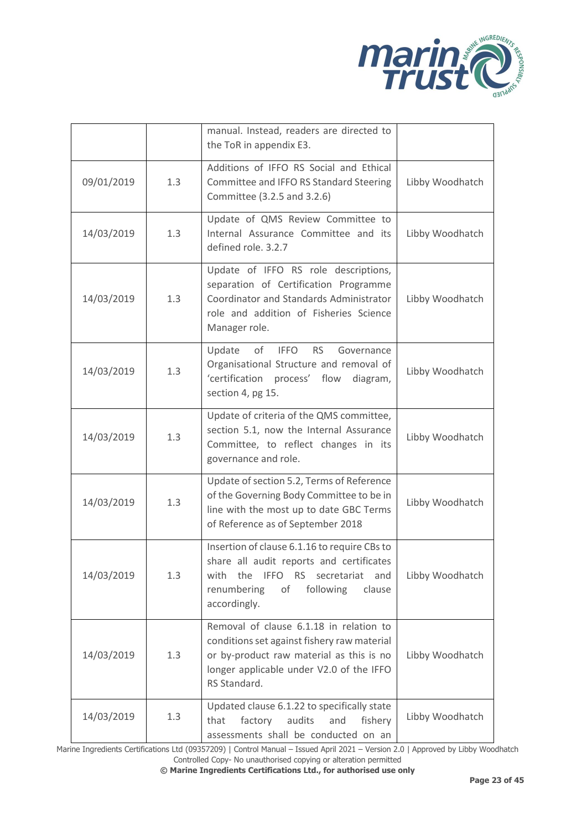

|            |     | manual. Instead, readers are directed to<br>the ToR in appendix E3.                                                                                                                            |                 |
|------------|-----|------------------------------------------------------------------------------------------------------------------------------------------------------------------------------------------------|-----------------|
| 09/01/2019 | 1.3 | Additions of IFFO RS Social and Ethical<br>Committee and IFFO RS Standard Steering<br>Committee (3.2.5 and 3.2.6)                                                                              | Libby Woodhatch |
| 14/03/2019 | 1.3 | Update of QMS Review Committee to<br>Internal Assurance Committee and its<br>defined role. 3.2.7                                                                                               | Libby Woodhatch |
| 14/03/2019 | 1.3 | Update of IFFO RS role descriptions,<br>separation of Certification Programme<br>Coordinator and Standards Administrator<br>role and addition of Fisheries Science<br>Manager role.            | Libby Woodhatch |
| 14/03/2019 | 1.3 | of<br><b>IFFO</b><br>Update<br><b>RS</b><br>Governance<br>Organisational Structure and removal of<br>'certification process' flow<br>diagram,<br>section 4, pg 15.                             | Libby Woodhatch |
| 14/03/2019 | 1.3 | Update of criteria of the QMS committee,<br>section 5.1, now the Internal Assurance<br>Committee, to reflect changes in its<br>governance and role.                                            | Libby Woodhatch |
| 14/03/2019 | 1.3 | Update of section 5.2, Terms of Reference<br>of the Governing Body Committee to be in<br>line with the most up to date GBC Terms<br>of Reference as of September 2018                          | Libby Woodhatch |
| 14/03/2019 | 1.3 | Insertion of clause 6.1.16 to require CBs to<br>share all audit reports and certificates<br>secretariat<br>with the IFFO RS<br>and<br>renumbering<br>of<br>following<br>clause<br>accordingly. | Libby Woodhatch |
| 14/03/2019 | 1.3 | Removal of clause 6.1.18 in relation to<br>conditions set against fishery raw material<br>or by-product raw material as this is no<br>longer applicable under V2.0 of the IFFO<br>RS Standard. | Libby Woodhatch |
| 14/03/2019 | 1.3 | Updated clause 6.1.22 to specifically state<br>factory<br>audits<br>that<br>and<br>fishery<br>assessments shall be conducted on an                                                             | Libby Woodhatch |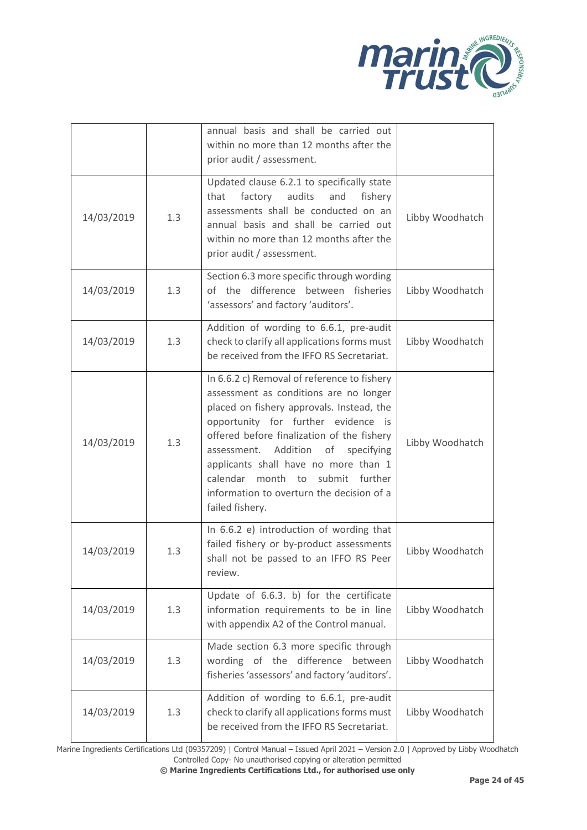

|            |     | annual basis and shall be carried out<br>within no more than 12 months after the<br>prior audit / assessment.                                                                                                                                                                                                                                                                                                         |                 |
|------------|-----|-----------------------------------------------------------------------------------------------------------------------------------------------------------------------------------------------------------------------------------------------------------------------------------------------------------------------------------------------------------------------------------------------------------------------|-----------------|
| 14/03/2019 | 1.3 | Updated clause 6.2.1 to specifically state<br>that<br>factory<br>audits<br>and<br>fishery<br>assessments shall be conducted on an<br>annual basis and shall be carried out<br>within no more than 12 months after the<br>prior audit / assessment.                                                                                                                                                                    | Libby Woodhatch |
| 14/03/2019 | 1.3 | Section 6.3 more specific through wording<br>of the difference<br>between fisheries<br>'assessors' and factory 'auditors'.                                                                                                                                                                                                                                                                                            | Libby Woodhatch |
| 14/03/2019 | 1.3 | Addition of wording to 6.6.1, pre-audit<br>check to clarify all applications forms must<br>be received from the IFFO RS Secretariat.                                                                                                                                                                                                                                                                                  | Libby Woodhatch |
| 14/03/2019 | 1.3 | In 6.6.2 c) Removal of reference to fishery<br>assessment as conditions are no longer<br>placed on fishery approvals. Instead, the<br>opportunity for further evidence is<br>offered before finalization of the fishery<br>assessment. Addition<br>of<br>specifying<br>applicants shall have no more than 1<br>month to<br>submit further<br>calendar<br>information to overturn the decision of a<br>failed fishery. | Libby Woodhatch |
| 14/03/2019 | 1.3 | In 6.6.2 e) introduction of wording that<br>failed fishery or by-product assessments<br>shall not be passed to an IFFO RS Peer<br>review.                                                                                                                                                                                                                                                                             | Libby Woodhatch |
| 14/03/2019 | 1.3 | Update of 6.6.3. b) for the certificate<br>information requirements to be in line<br>with appendix A2 of the Control manual.                                                                                                                                                                                                                                                                                          | Libby Woodhatch |
| 14/03/2019 | 1.3 | Made section 6.3 more specific through<br>wording of the difference<br>between<br>fisheries 'assessors' and factory 'auditors'.                                                                                                                                                                                                                                                                                       | Libby Woodhatch |
| 14/03/2019 | 1.3 | Addition of wording to 6.6.1, pre-audit<br>check to clarify all applications forms must<br>be received from the IFFO RS Secretariat.                                                                                                                                                                                                                                                                                  | Libby Woodhatch |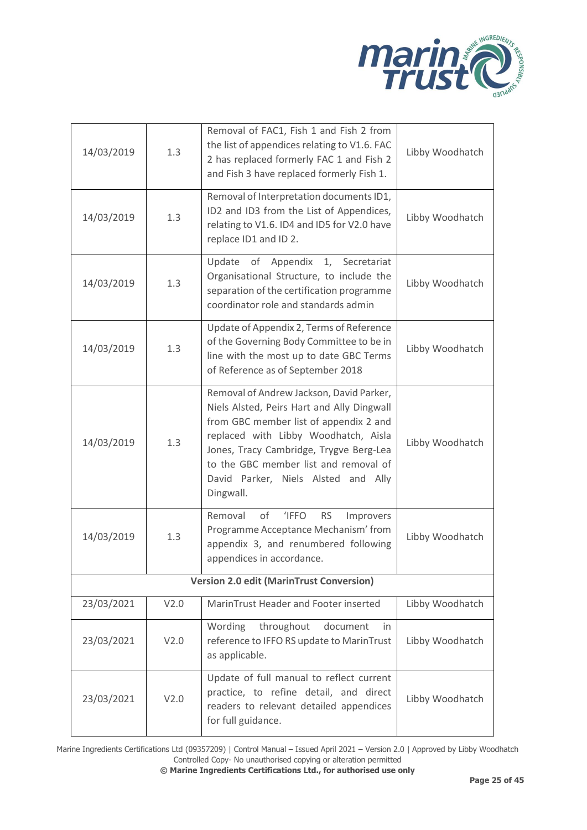

| 14/03/2019                                      | 1.3  | Removal of FAC1, Fish 1 and Fish 2 from<br>the list of appendices relating to V1.6. FAC<br>2 has replaced formerly FAC 1 and Fish 2<br>and Fish 3 have replaced formerly Fish 1.                                                                                                                                 | Libby Woodhatch |  |
|-------------------------------------------------|------|------------------------------------------------------------------------------------------------------------------------------------------------------------------------------------------------------------------------------------------------------------------------------------------------------------------|-----------------|--|
| 14/03/2019                                      | 1.3  | Removal of Interpretation documents ID1,<br>ID2 and ID3 from the List of Appendices,<br>relating to V1.6. ID4 and ID5 for V2.0 have<br>replace ID1 and ID2.                                                                                                                                                      | Libby Woodhatch |  |
| 14/03/2019                                      | 1.3  | of Appendix 1, Secretariat<br>Update<br>Organisational Structure, to include the<br>separation of the certification programme<br>coordinator role and standards admin                                                                                                                                            | Libby Woodhatch |  |
| 14/03/2019                                      | 1.3  | Update of Appendix 2, Terms of Reference<br>of the Governing Body Committee to be in<br>line with the most up to date GBC Terms<br>of Reference as of September 2018                                                                                                                                             | Libby Woodhatch |  |
| 14/03/2019                                      | 1.3  | Removal of Andrew Jackson, David Parker,<br>Niels Alsted, Peirs Hart and Ally Dingwall<br>from GBC member list of appendix 2 and<br>replaced with Libby Woodhatch, Aisla<br>Jones, Tracy Cambridge, Trygve Berg-Lea<br>to the GBC member list and removal of<br>David Parker, Niels Alsted and Ally<br>Dingwall. | Libby Woodhatch |  |
| 14/03/2019                                      | 1.3  | Removal<br>of<br><b>IFFO</b><br><b>RS</b><br>Improvers<br>Programme Acceptance Mechanism' from<br>appendix 3, and renumbered following<br>appendices in accordance.                                                                                                                                              | Libby Woodhatch |  |
| <b>Version 2.0 edit (MarinTrust Conversion)</b> |      |                                                                                                                                                                                                                                                                                                                  |                 |  |
| 23/03/2021                                      | V2.0 | MarinTrust Header and Footer inserted                                                                                                                                                                                                                                                                            | Libby Woodhatch |  |
| 23/03/2021                                      | V2.0 | throughout<br>Wording<br>document<br>in.<br>reference to IFFO RS update to MarinTrust<br>as applicable.                                                                                                                                                                                                          | Libby Woodhatch |  |
| 23/03/2021                                      | V2.0 | Update of full manual to reflect current<br>practice, to refine detail, and direct<br>readers to relevant detailed appendices<br>for full guidance.                                                                                                                                                              | Libby Woodhatch |  |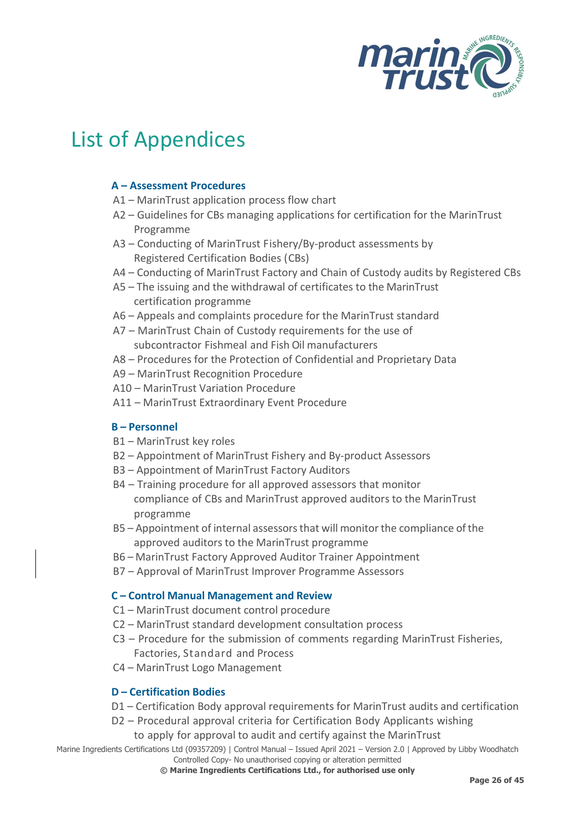

## <span id="page-32-0"></span>List of Appendices

#### **A – Assessment Procedures**

- A1 MarinTrust application process flow chart
- A2 Guidelines for CBs managing applications for certification for the MarinTrust Programme
- A3 Conducting of MarinTrust Fishery/By‐product assessments by Registered Certification Bodies (CBs)
- A4 Conducting of MarinTrust Factory and Chain of Custody audits by Registered CBs
- A5 The issuing and the withdrawal of certificates to the MarinTrust certification programme
- A6 Appeals and complaints procedure for the MarinTrust standard
- A7 MarinTrust Chain of Custody requirements for the use of subcontractor Fishmeal and Fish Oil manufacturers
- A8 Procedures for the Protection of Confidential and Proprietary Data
- A9 MarinTrust Recognition Procedure
- A10 MarinTrust Variation Procedure
- A11 MarinTrust Extraordinary Event Procedure

#### **B – Personnel**

- B1 MarinTrust key roles
- B2 Appointment of MarinTrust Fishery and By‐product Assessors
- B3 Appointment of MarinTrust Factory Auditors
- B4 Training procedure for all approved assessors that monitor compliance of CBs and MarinTrust approved auditors to the MarinTrust programme
- B5 Appointment of internal assessors that will monitor the compliance of the approved auditors to the MarinTrust programme
- B6 MarinTrust Factory Approved Auditor Trainer Appointment
- B7 Approval of MarinTrust Improver Programme Assessors

#### **C – Control Manual Management and Review**

- C1 MarinTrust document control procedure
- C2 MarinTrust standard development consultation process
- C3 Procedure for the submission of comments regarding MarinTrust Fisheries, Factories, Standard and Process
- C4 MarinTrust Logo Management

#### **D – Certification Bodies**

- D1 Certification Body approval requirements for MarinTrust audits and certification
- D2 Procedural approval criteria for Certification Body Applicants wishing
	- to apply for approval to audit and certify against the MarinTrust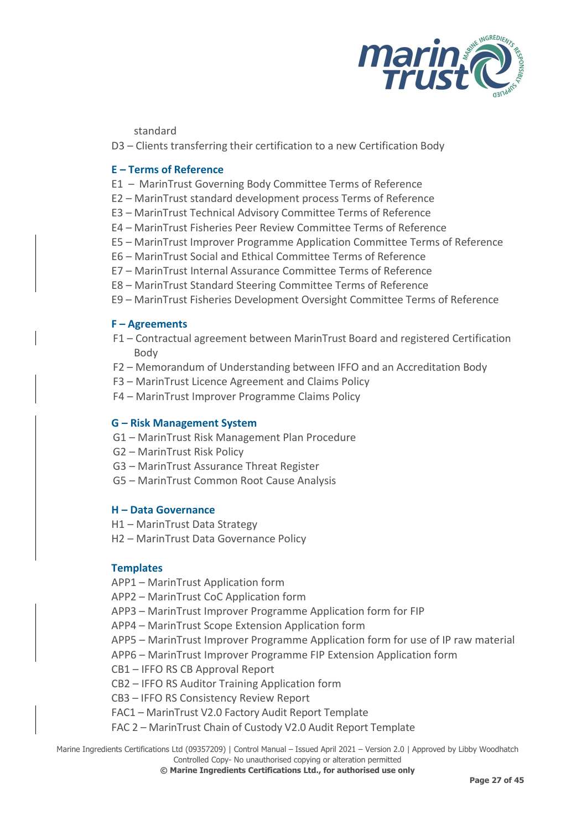

standard

D3 – Clients transferring their certification to a new Certification Body

#### **E – Terms of Reference**

- E1 MarinTrust Governing Body Committee Terms of Reference
- E2 MarinTrust standard development process Terms of Reference
- E3 MarinTrust Technical Advisory Committee Terms of Reference
- E4 MarinTrust Fisheries Peer Review Committee Terms of Reference
- E5 MarinTrust Improver Programme Application Committee Terms of Reference
- E6 MarinTrust Social and Ethical Committee Terms of Reference
- E7 MarinTrust Internal Assurance Committee Terms of Reference
- E8 MarinTrust Standard Steering Committee Terms of Reference
- E9 MarinTrust Fisheries Development Oversight Committee Terms of Reference

#### **F – Agreements**

- F1 Contractual agreement between MarinTrust Board and registered Certification Body
- F2 Memorandum of Understanding between IFFO and an Accreditation Body
- F3 MarinTrust Licence Agreement and Claims Policy
- F4 MarinTrust Improver Programme Claims Policy

#### **G – Risk Management System**

- G1 MarinTrust Risk Management Plan Procedure
- G2 MarinTrust Risk Policy
- G3 MarinTrust Assurance Threat Register
- G5 MarinTrust Common Root Cause Analysis

#### **H – Data Governance**

- H1 MarinTrust Data Strategy
- H2 MarinTrust Data Governance Policy

#### **Templates**

- APP1 MarinTrust Application form
- APP2 MarinTrust CoC Application form
- APP3 MarinTrust Improver Programme Application form for FIP
- APP4 MarinTrust Scope Extension Application form
- APP5 MarinTrust Improver Programme Application form for use of IP raw material
- APP6 MarinTrust Improver Programme FIP Extension Application form
- CB1 IFFO RS CB Approval Report
- CB2 IFFO RS Auditor Training Application form
- CB3 IFFO RS Consistency Review Report
- FAC1 MarinTrust V2.0 Factory Audit Report Template
- FAC 2 MarinTrust Chain of Custody V2.0 Audit Report Template

Marine Ingredients Certifications Ltd (09357209) | Control Manual – Issued April 2021 – Version 2.0 | Approved by Libby Woodhatch Controlled Copy- No unauthorised copying or alteration permitted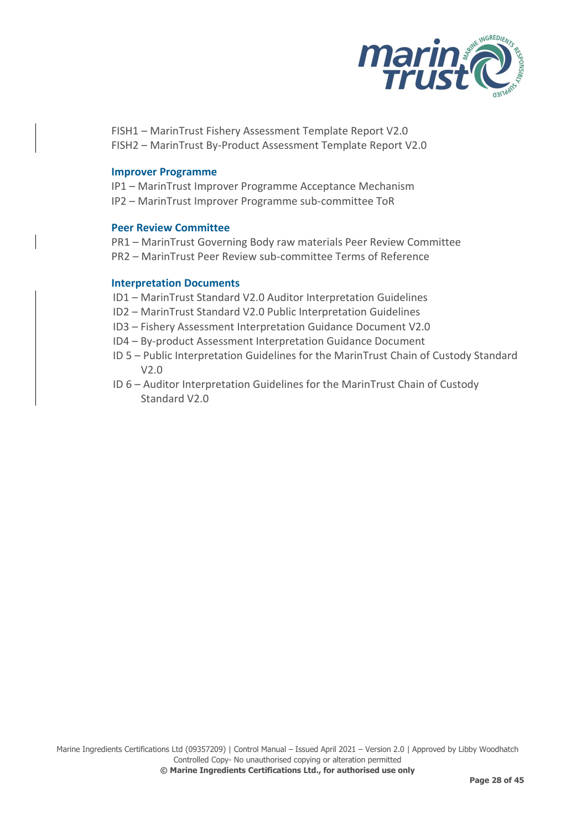

FISH1 – MarinTrust Fishery Assessment Template Report V2.0 FISH2 – MarinTrust By-Product Assessment Template Report V2.0

#### **Improver Programme**

IP1 – MarinTrust Improver Programme Acceptance Mechanism IP2 – MarinTrust Improver Programme sub-committee ToR

#### **Peer Review Committee**

PR1 – MarinTrust Governing Body raw materials Peer Review Committee PR2 – MarinTrust Peer Review sub-committee Terms of Reference

#### **Interpretation Documents**

ID1 – MarinTrust Standard V2.0 Auditor Interpretation Guidelines

- ID2 MarinTrust Standard V2.0 Public Interpretation Guidelines
- ID3 Fishery Assessment Interpretation Guidance Document V2.0
- ID4 By-product Assessment Interpretation Guidance Document
- ID 5 Public Interpretation Guidelines for the MarinTrust Chain of Custody Standard V2.0
- ID 6 Auditor Interpretation Guidelines for the MarinTrust Chain of Custody Standard V2.0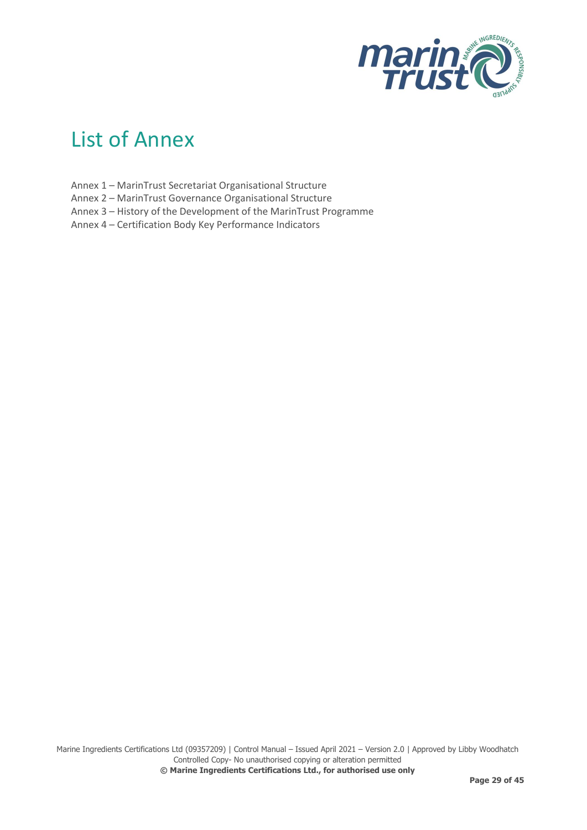

## <span id="page-35-0"></span>List of Annex

- Annex 1 MarinTrust Secretariat Organisational Structure
- Annex 2 MarinTrust Governance Organisational Structure
- Annex 3 History of the Development of the MarinTrust Programme
- Annex 4 Certification Body Key Performance Indicators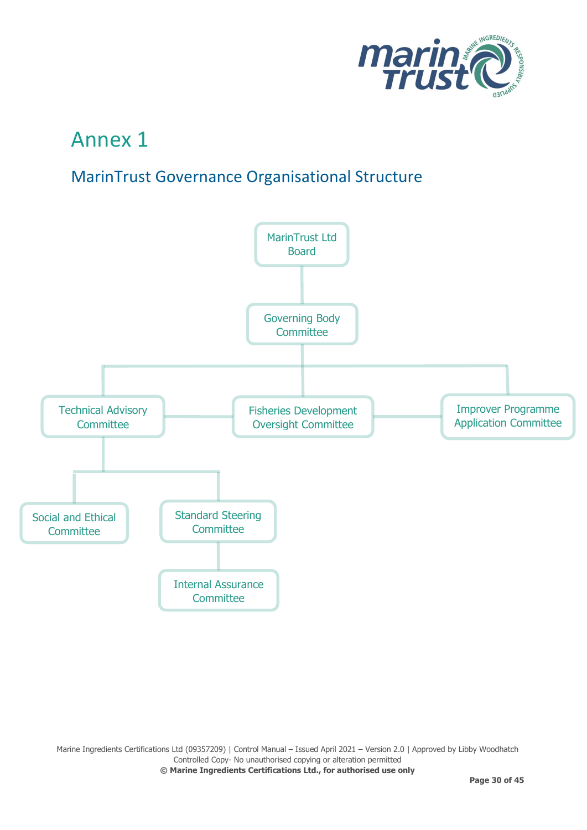

## <span id="page-36-0"></span>MarinTrust Governance Organisational Structure

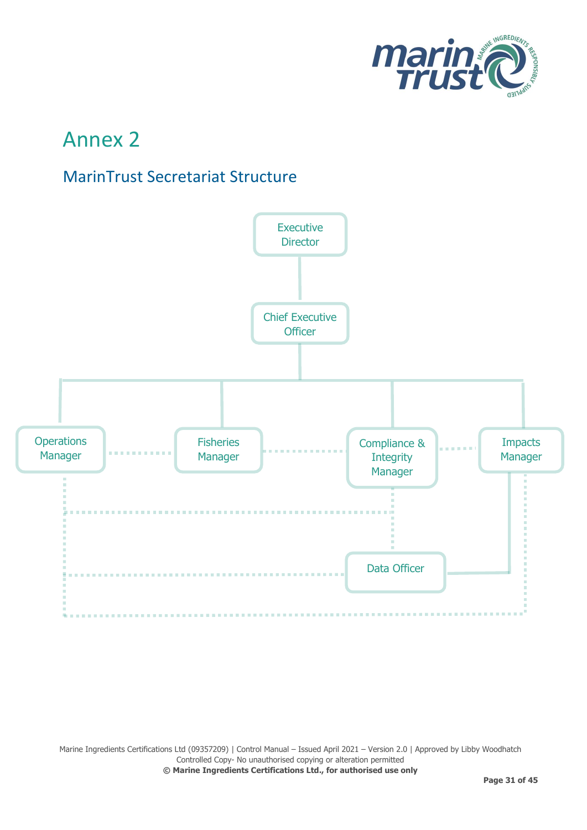

## <span id="page-37-0"></span>MarinTrust Secretariat Structure



Marine Ingredients Certifications Ltd (09357209) | Control Manual – Issued April 2021 – Version 2.0 | Approved by Libby Woodhatch Controlled Copy- No unauthorised copying or alteration permitted **© Marine Ingredients Certifications Ltd., for authorised use only**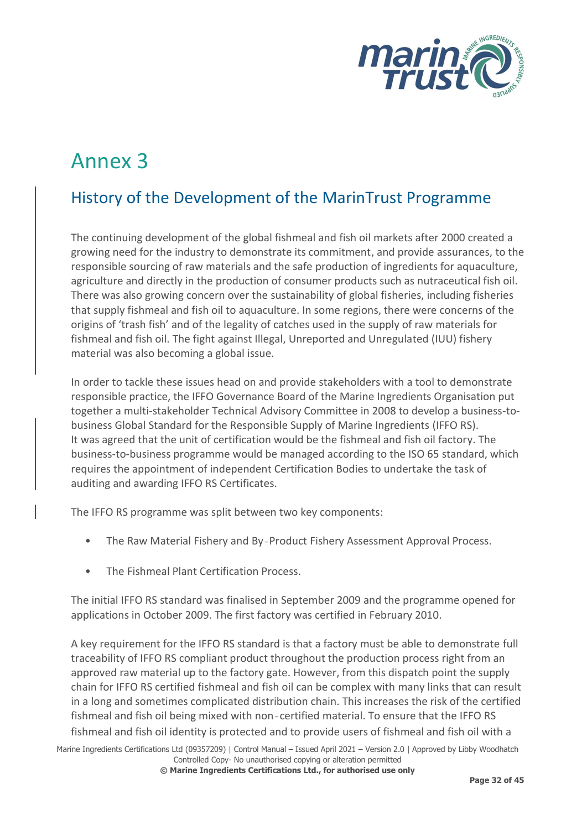

## <span id="page-38-0"></span>History of the Development of the MarinTrust Programme

The continuing development of the global fishmeal and fish oil markets after 2000 created a growing need for the industry to demonstrate its commitment, and provide assurances, to the responsible sourcing of raw materials and the safe production of ingredients for aquaculture, agriculture and directly in the production of consumer products such as nutraceutical fish oil. There was also growing concern over the sustainability of global fisheries, including fisheries that supply fishmeal and fish oil to aquaculture. In some regions, there were concerns of the origins of 'trash fish' and of the legality of catches used in the supply of raw materials for fishmeal and fish oil. The fight against Illegal, Unreported and Unregulated (IUU) fishery material was also becoming a global issue.

In order to tackle these issues head on and provide stakeholders with a tool to demonstrate responsible practice, the IFFO Governance Board of the Marine Ingredients Organisation put together a multi-stakeholder Technical Advisory Committee in 2008 to develop a business-tobusiness Global Standard for the Responsible Supply of Marine Ingredients (IFFO RS). It was agreed that the unit of certification would be the fishmeal and fish oil factory. The business-to-business programme would be managed according to the ISO 65 standard, which requires the appointment of independent Certification Bodies to undertake the task of auditing and awarding IFFO RS Certificates.

The IFFO RS programme was split between two key components:

- The Raw Material Fishery and By‐Product Fishery Assessment Approval Process.
- The Fishmeal Plant Certification Process.

The initial IFFO RS standard was finalised in September 2009 and the programme opened for applications in October 2009. The first factory was certified in February 2010.

A key requirement for the IFFO RS standard is that a factory must be able to demonstrate full traceability of IFFO RS compliant product throughout the production process right from an approved raw material up to the factory gate. However, from this dispatch point the supply chain for IFFO RS certified fishmeal and fish oil can be complex with many links that can result in a long and sometimes complicated distribution chain. This increases the risk of the certified fishmeal and fish oil being mixed with non-certified material. To ensure that the IFFO RS fishmeal and fish oil identity is protected and to provide users of fishmeal and fish oil with a

Marine Ingredients Certifications Ltd (09357209) | Control Manual – Issued April 2021 – Version 2.0 | Approved by Libby Woodhatch Controlled Copy- No unauthorised copying or alteration permitted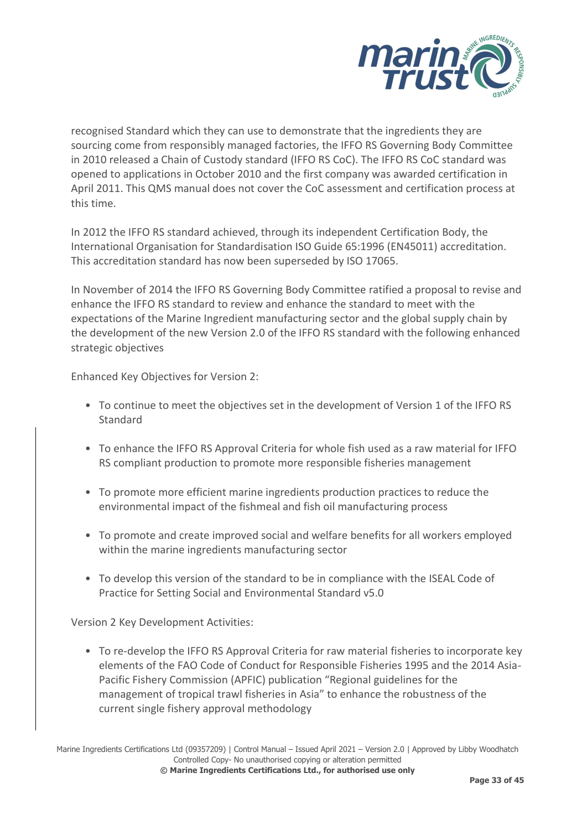

recognised Standard which they can use to demonstrate that the ingredients they are sourcing come from responsibly managed factories, the IFFO RS Governing Body Committee in 2010 released a Chain of Custody standard (IFFO RS CoC). The IFFO RS CoC standard was opened to applications in October 2010 and the first company was awarded certification in April 2011. This QMS manual does not cover the CoC assessment and certification process at this time.

In 2012 the IFFO RS standard achieved, through its independent Certification Body, the International Organisation for Standardisation ISO Guide 65:1996 (EN45011) accreditation. This accreditation standard has now been superseded by ISO 17065.

In November of 2014 the IFFO RS Governing Body Committee ratified a proposal to revise and enhance the IFFO RS standard to review and enhance the standard to meet with the expectations of the Marine Ingredient manufacturing sector and the global supply chain by the development of the new Version 2.0 of the IFFO RS standard with the following enhanced strategic objectives

Enhanced Key Objectives for Version 2:

- To continue to meet the objectives set in the development of Version 1 of the IFFO RS Standard
- To enhance the IFFO RS Approval Criteria for whole fish used as a raw material for IFFO RS compliant production to promote more responsible fisheries management
- To promote more efficient marine ingredients production practices to reduce the environmental impact of the fishmeal and fish oil manufacturing process
- To promote and create improved social and welfare benefits for all workers employed within the marine ingredients manufacturing sector
- To develop this version of the standard to be in compliance with the ISEAL Code of Practice for Setting Social and Environmental Standard v5.0

Version 2 Key Development Activities:

• To re-develop the IFFO RS Approval Criteria for raw material fisheries to incorporate key elements of the FAO Code of Conduct for Responsible Fisheries 1995 and the 2014 Asia-Pacific Fishery Commission (APFIC) publication "Regional guidelines for the management of tropical trawl fisheries in Asia" to enhance the robustness of the current single fishery approval methodology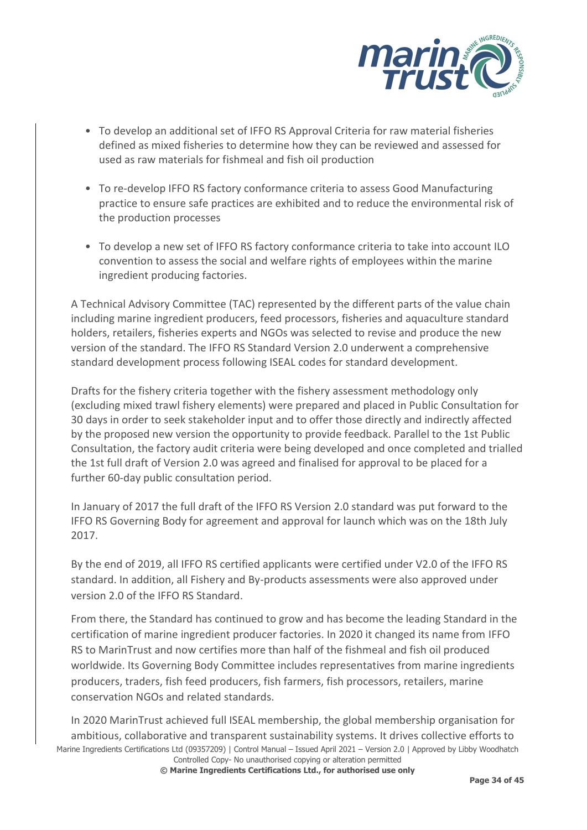

- To develop an additional set of IFFO RS Approval Criteria for raw material fisheries defined as mixed fisheries to determine how they can be reviewed and assessed for used as raw materials for fishmeal and fish oil production
- To re-develop IFFO RS factory conformance criteria to assess Good Manufacturing practice to ensure safe practices are exhibited and to reduce the environmental risk of the production processes
- To develop a new set of IFFO RS factory conformance criteria to take into account ILO convention to assess the social and welfare rights of employees within the marine ingredient producing factories.

A Technical Advisory Committee (TAC) represented by the different parts of the value chain including marine ingredient producers, feed processors, fisheries and aquaculture standard holders, retailers, fisheries experts and NGOs was selected to revise and produce the new version of the standard. The IFFO RS Standard Version 2.0 underwent a comprehensive standard development process following ISEAL codes for standard development.

Drafts for the fishery criteria together with the fishery assessment methodology only (excluding mixed trawl fishery elements) were prepared and placed in Public Consultation for 30 days in order to seek stakeholder input and to offer those directly and indirectly affected by the proposed new version the opportunity to provide feedback. Parallel to the 1st Public Consultation, the factory audit criteria were being developed and once completed and trialled the 1st full draft of Version 2.0 was agreed and finalised for approval to be placed for a further 60-day public consultation period.

In January of 2017 the full draft of the IFFO RS Version 2.0 standard was put forward to the IFFO RS Governing Body for agreement and approval for launch which was on the 18th July 2017.

By the end of 2019, all IFFO RS certified applicants were certified under V2.0 of the IFFO RS standard. In addition, all Fishery and By-products assessments were also approved under version 2.0 of the IFFO RS Standard.

From there, the Standard has continued to grow and has become the leading Standard in the certification of marine ingredient producer factories. In 2020 it changed its name from IFFO RS to MarinTrust and now certifies more than half of the fishmeal and fish oil produced worldwide. Its Governing Body Committee includes representatives from marine ingredients producers, traders, fish feed producers, fish farmers, fish processors, retailers, marine conservation NGOs and related standards.

Marine Ingredients Certifications Ltd (09357209) | Control Manual – Issued April 2021 – Version 2.0 | Approved by Libby Woodhatch Controlled Copy- No unauthorised copying or alteration permitted In 2020 MarinTrust achieved full ISEAL membership, the global membership organisation for ambitious, collaborative and transparent sustainability systems. It drives collective efforts to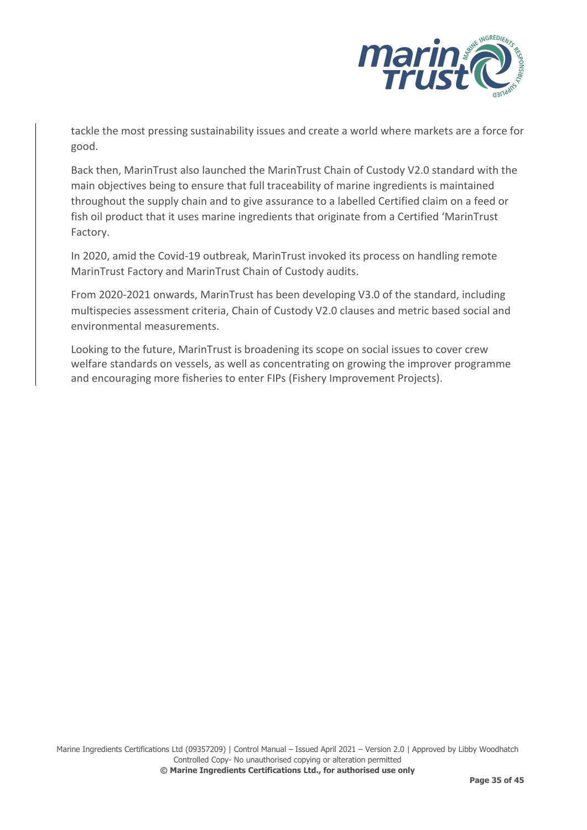

tackle the most pressing sustainability issues and create a world where markets are a force for good.

Back then, MarinTrust also launched the MarinTrust Chain of Custody V2.0 standard with the main objectives being to ensure that full traceability of marine ingredients is maintained throughout the supply chain and to give assurance to a labelled Certified claim on a feed or fish oil product that it uses marine ingredients that originate from a Certified 'MarinTrust Factory.

In 2020, amid the Covid-19 outbreak, MarinTrust invoked its process on handling remote MarinTrust Factory and MarinTrust Chain of Custody audits.

From 2020-2021 onwards, MarinTrust has been developing V3.0 of the standard, including multispecies assessment criteria, Chain of Custody V2.0 clauses and metric based social and environmental measurements.

Looking to the future, MarinTrust is broadening its scope on social issues to cover crew welfare standards on vessels, as well as concentrating on growing the improver programme and encouraging more fisheries to enter FIPs (Fishery Improvement Projects).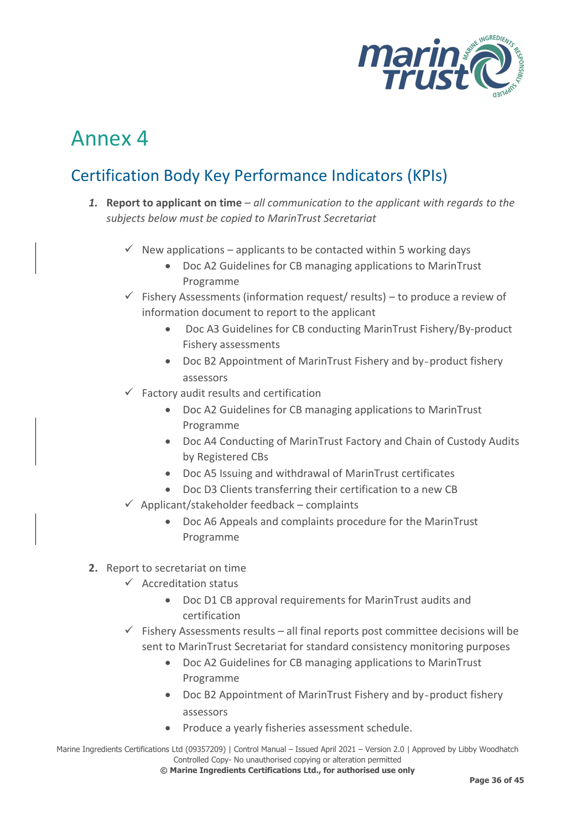

## <span id="page-42-0"></span>Certification Body Key Performance Indicators (KPIs)

- *1.* **Report to applicant on time** *all communication to the applicant with regards to the subjects below must be copied to MarinTrust Secretariat*
	- $\checkmark$  New applications applicants to be contacted within 5 working days
		- Doc A2 Guidelines for CB managing applications to MarinTrust Programme
	- $\checkmark$  Fishery Assessments (information request/ results) to produce a review of information document to report to the applicant
		- Doc A3 Guidelines for CB conducting MarinTrust Fishery/By-product Fishery assessments
		- Doc B2 Appointment of MarinTrust Fishery and by‐product fishery assessors
	- $\checkmark$  Factory audit results and certification
		- Doc A2 Guidelines for CB managing applications to MarinTrust Programme
		- Doc A4 Conducting of MarinTrust Factory and Chain of Custody Audits by Registered CBs
		- Doc A5 Issuing and withdrawal of MarinTrust certificates
		- Doc D3 Clients transferring their certification to a new CB
	- $\checkmark$  Applicant/stakeholder feedback complaints
		- Doc A6 Appeals and complaints procedure for the MarinTrust Programme
- **2.** Report to secretariat on time
	- $\checkmark$  Accreditation status
		- Doc D1 CB approval requirements for MarinTrust audits and certification
	- $\checkmark$  Fishery Assessments results all final reports post committee decisions will be sent to MarinTrust Secretariat for standard consistency monitoring purposes
		- Doc A2 Guidelines for CB managing applications to MarinTrust Programme
		- Doc B2 Appointment of MarinTrust Fishery and by‐product fishery assessors
		- Produce a yearly fisheries assessment schedule.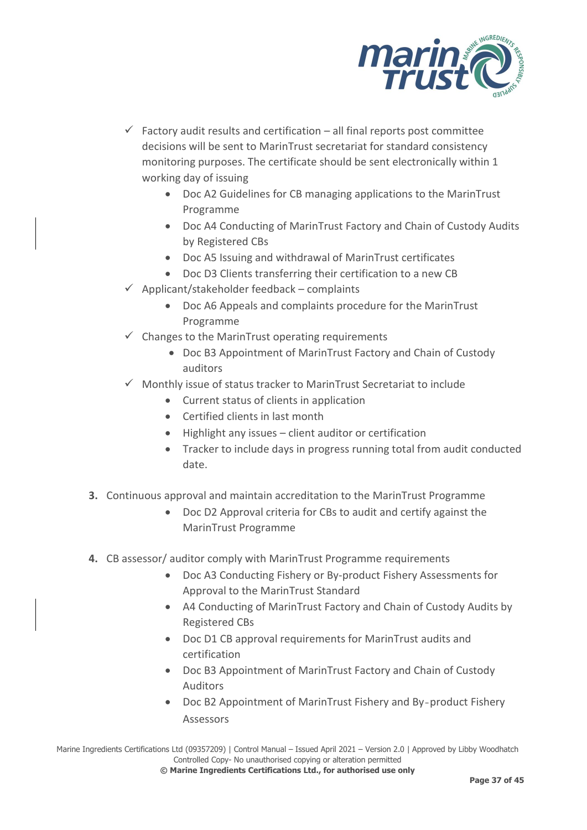

- $\checkmark$  Factory audit results and certification all final reports post committee decisions will be sent to MarinTrust secretariat for standard consistency monitoring purposes. The certificate should be sent electronically within 1 working day of issuing
	- Doc A2 Guidelines for CB managing applications to the MarinTrust Programme
	- Doc A4 Conducting of MarinTrust Factory and Chain of Custody Audits by Registered CBs
	- Doc A5 Issuing and withdrawal of MarinTrust certificates
	- Doc D3 Clients transferring their certification to a new CB
- $\checkmark$  Applicant/stakeholder feedback complaints
	- Doc A6 Appeals and complaints procedure for the MarinTrust Programme
- $\checkmark$  Changes to the MarinTrust operating requirements
	- Doc B3 Appointment of MarinTrust Factory and Chain of Custody auditors
- ✓ Monthly issue of status tracker to MarinTrust Secretariat to include
	- Current status of clients in application
	- Certified clients in last month
	- Highlight any issues client auditor or certification
	- Tracker to include days in progress running total from audit conducted date.
- **3.** Continuous approval and maintain accreditation to the MarinTrust Programme
	- Doc D2 Approval criteria for CBs to audit and certify against the MarinTrust Programme
- **4.** CB assessor/ auditor comply with MarinTrust Programme requirements
	- Doc A3 Conducting Fishery or By-product Fishery Assessments for Approval to the MarinTrust Standard
	- A4 Conducting of MarinTrust Factory and Chain of Custody Audits by Registered CBs
	- Doc D1 CB approval requirements for MarinTrust audits and certification
	- Doc B3 Appointment of MarinTrust Factory and Chain of Custody Auditors
	- Doc B2 Appointment of MarinTrust Fishery and By‐product Fishery Assessors